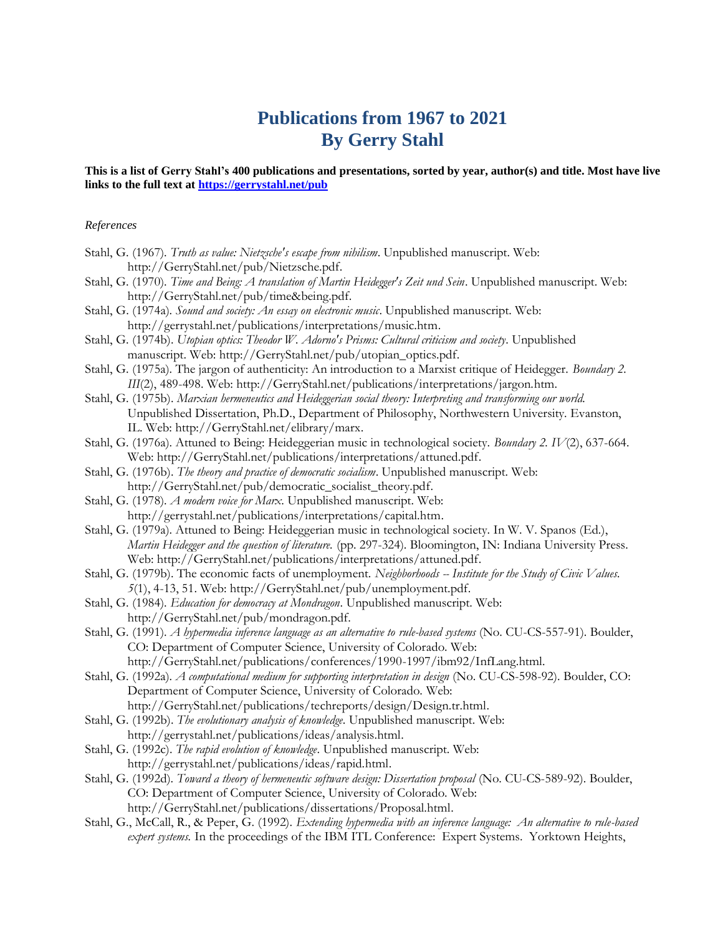## **Publications from 1967 to 2021 By Gerry Stahl**

## **This is a list of Gerry Stahl's 400 publications and presentations, sorted by year, author(s) and title. Most have live links to the full text at <https://gerrystahl.net/pub>**

## *References*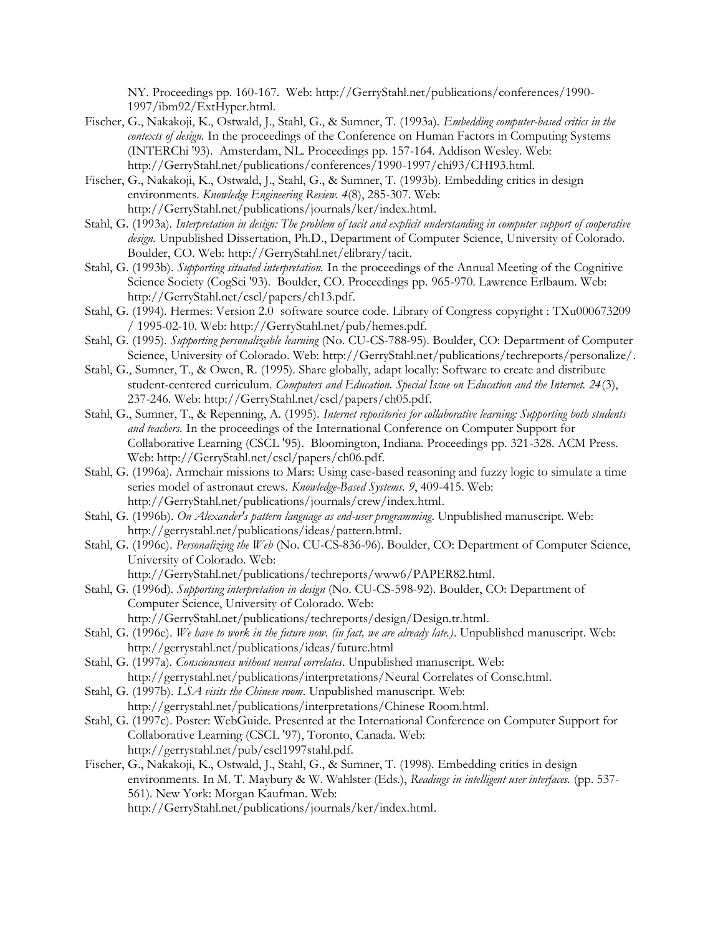NY. Proceedings pp. 160-167. Web: http://GerryStahl.net/publications/conferences/1990- 1997/ibm92/ExtHyper.html.

- Fischer, G., Nakakoji, K., Ostwald, J., Stahl, G., & Sumner, T. (1993a). *Embedding computer-based critics in the contexts of design.* In the proceedings of the Conference on Human Factors in Computing Systems (INTERChi '93). Amsterdam, NL. Proceedings pp. 157-164. Addison Wesley. Web: http://GerryStahl.net/publications/conferences/1990-1997/chi93/CHI93.html.
- Fischer, G., Nakakoji, K., Ostwald, J., Stahl, G., & Sumner, T. (1993b). Embedding critics in design environments. *Knowledge Engineering Review. 4*(8), 285-307. Web: http://GerryStahl.net/publications/journals/ker/index.html.
- Stahl, G. (1993a). *Interpretation in design: The problem of tacit and explicit understanding in computer support of cooperative design.* Unpublished Dissertation, Ph.D., Department of Computer Science, University of Colorado. Boulder, CO. Web: http://GerryStahl.net/elibrary/tacit.
- Stahl, G. (1993b). *Supporting situated interpretation.* In the proceedings of the Annual Meeting of the Cognitive Science Society (CogSci '93). Boulder, CO. Proceedings pp. 965-970. Lawrence Erlbaum. Web: http://GerryStahl.net/cscl/papers/ch13.pdf.
- Stahl, G. (1994). Hermes: Version 2.0 software source code. Library of Congress copyright : TXu000673209 / 1995-02-10. Web: http://GerryStahl.net/pub/hemes.pdf.
- Stahl, G. (1995). *Supporting personalizable learning* (No. CU-CS-788-95). Boulder, CO: Department of Computer Science, University of Colorado. Web: http://GerryStahl.net/publications/techreports/personalize/.
- Stahl, G., Sumner, T., & Owen, R. (1995). Share globally, adapt locally: Software to create and distribute student-centered curriculum. *Computers and Education. Special Issue on Education and the Internet. 24*(3), 237-246. Web: http://GerryStahl.net/cscl/papers/ch05.pdf.
- Stahl, G., Sumner, T., & Repenning, A. (1995). *Internet repositories for collaborative learning: Supporting both students and teachers.* In the proceedings of the International Conference on Computer Support for Collaborative Learning (CSCL '95). Bloomington, Indiana. Proceedings pp. 321-328. ACM Press. Web: http://GerryStahl.net/cscl/papers/ch06.pdf.
- Stahl, G. (1996a). Armchair missions to Mars: Using case-based reasoning and fuzzy logic to simulate a time series model of astronaut crews. *Knowledge-Based Systems. 9*, 409-415. Web: http://GerryStahl.net/publications/journals/crew/index.html.
- Stahl, G. (1996b). *On Alexander's pattern language as end-user programming*. Unpublished manuscript. Web: http://gerrystahl.net/publications/ideas/pattern.html.
- Stahl, G. (1996c). *Personalizing the Web* (No. CU-CS-836-96). Boulder, CO: Department of Computer Science, University of Colorado. Web:

http://GerryStahl.net/publications/techreports/www6/PAPER82.html.

- Stahl, G. (1996d). *Supporting interpretation in design* (No. CU-CS-598-92). Boulder, CO: Department of Computer Science, University of Colorado. Web: http://GerryStahl.net/publications/techreports/design/Design.tr.html.
- Stahl, G. (1996e). *We have to work in the future now. (in fact, we are already late.)*. Unpublished manuscript. Web: http://gerrystahl.net/publications/ideas/future.html
- Stahl, G. (1997a). *Consciousness without neural correlates*. Unpublished manuscript. Web: http://gerrystahl.net/publications/interpretations/Neural Correlates of Consc.html.
- Stahl, G. (1997b). *LSA visits the Chinese room*. Unpublished manuscript. Web:
	- http://gerrystahl.net/publications/interpretations/Chinese Room.html.
- Stahl, G. (1997c). Poster: WebGuide. Presented at the International Conference on Computer Support for Collaborative Learning (CSCL '97), Toronto, Canada. Web: http://gerrystahl.net/pub/cscl1997stahl.pdf.
- Fischer, G., Nakakoji, K., Ostwald, J., Stahl, G., & Sumner, T. (1998). Embedding critics in design environments. In M. T. Maybury & W. Wahlster (Eds.), *Readings in intelligent user interfaces.* (pp. 537- 561). New York: Morgan Kaufman. Web: http://GerryStahl.net/publications/journals/ker/index.html.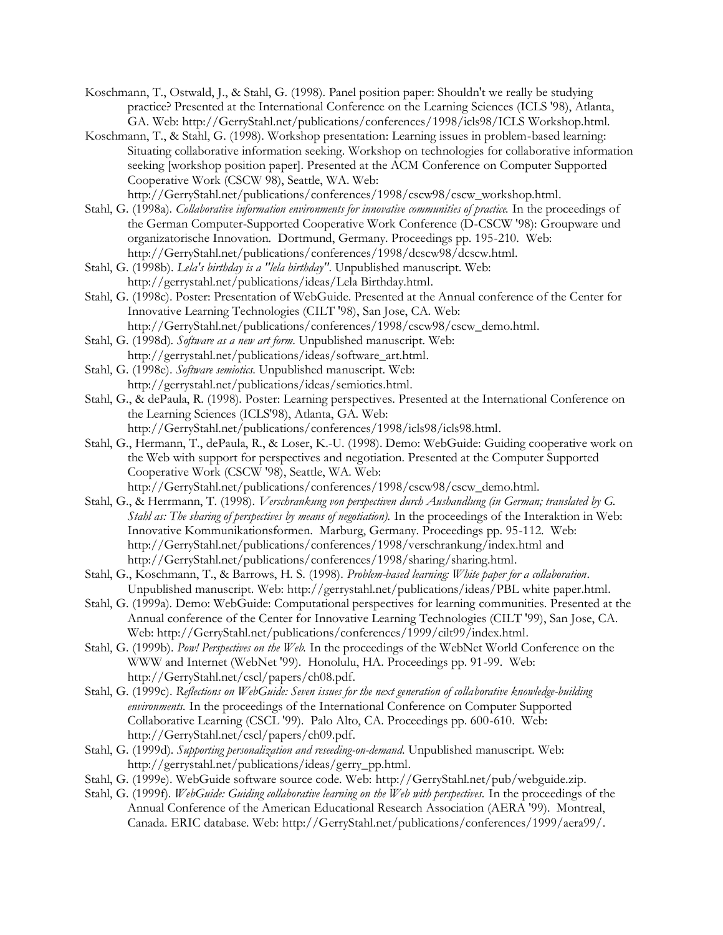- Koschmann, T., Ostwald, J., & Stahl, G. (1998). Panel position paper: Shouldn't we really be studying practice? Presented at the International Conference on the Learning Sciences (ICLS '98), Atlanta, GA. Web: http://GerryStahl.net/publications/conferences/1998/icls98/ICLS Workshop.html.
- Koschmann, T., & Stahl, G. (1998). Workshop presentation: Learning issues in problem-based learning: Situating collaborative information seeking. Workshop on technologies for collaborative information seeking [workshop position paper]. Presented at the ACM Conference on Computer Supported Cooperative Work (CSCW 98), Seattle, WA. Web: http://GerryStahl.net/publications/conferences/1998/cscw98/cscw\_workshop.html.
- Stahl, G. (1998a). *Collaborative information environments for innovative communities of practice.* In the proceedings of the German Computer-Supported Cooperative Work Conference (D-CSCW '98): Groupware und organizatorische Innovation. Dortmund, Germany. Proceedings pp. 195-210. Web: http://GerryStahl.net/publications/conferences/1998/dcscw98/dcscw.html.
- Stahl, G. (1998b). *Lela's birthday is a "lela birthday"*. Unpublished manuscript. Web: http://gerrystahl.net/publications/ideas/Lela Birthday.html.
- Stahl, G. (1998c). Poster: Presentation of WebGuide. Presented at the Annual conference of the Center for Innovative Learning Technologies (CILT '98), San Jose, CA. Web: http://GerryStahl.net/publications/conferences/1998/cscw98/cscw\_demo.html.
- Stahl, G. (1998d). *Software as a new art form*. Unpublished manuscript. Web: http://gerrystahl.net/publications/ideas/software\_art.html.
- Stahl, G. (1998e). *Software semiotics*. Unpublished manuscript. Web: http://gerrystahl.net/publications/ideas/semiotics.html.
- Stahl, G., & dePaula, R. (1998). Poster: Learning perspectives. Presented at the International Conference on the Learning Sciences (ICLS'98), Atlanta, GA. Web: http://GerryStahl.net/publications/conferences/1998/icls98/icls98.html.
- Stahl, G., Hermann, T., dePaula, R., & Loser, K.-U. (1998). Demo: WebGuide: Guiding cooperative work on the Web with support for perspectives and negotiation. Presented at the Computer Supported Cooperative Work (CSCW '98), Seattle, WA. Web: http://GerryStahl.net/publications/conferences/1998/cscw98/cscw\_demo.html.
- Stahl, G., & Herrmann, T. (1998). *Verschrankung von perspectiven durch Aushandlung (in German; translated by G. Stahl as: The sharing of perspectives by means of negotiation).* In the proceedings of the Interaktion in Web: Innovative Kommunikationsformen. Marburg, Germany. Proceedings pp. 95-112. Web: http://GerryStahl.net/publications/conferences/1998/verschrankung/index.html and http://GerryStahl.net/publications/conferences/1998/sharing/sharing.html.
- Stahl, G., Koschmann, T., & Barrows, H. S. (1998). *Problem-based learning: White paper for a collaboration*. Unpublished manuscript. Web: http://gerrystahl.net/publications/ideas/PBL white paper.html.
- Stahl, G. (1999a). Demo: WebGuide: Computational perspectives for learning communities. Presented at the Annual conference of the Center for Innovative Learning Technologies (CILT '99), San Jose, CA. Web: http://GerryStahl.net/publications/conferences/1999/cilt99/index.html.
- Stahl, G. (1999b). *Pow! Perspectives on the Web.* In the proceedings of the WebNet World Conference on the WWW and Internet (WebNet '99). Honolulu, HA. Proceedings pp. 91-99. Web: http://GerryStahl.net/cscl/papers/ch08.pdf.
- Stahl, G. (1999c). *Reflections on WebGuide: Seven issues for the next generation of collaborative knowledge-building environments.* In the proceedings of the International Conference on Computer Supported Collaborative Learning (CSCL '99). Palo Alto, CA. Proceedings pp. 600-610. Web: http://GerryStahl.net/cscl/papers/ch09.pdf.
- Stahl, G. (1999d). *Supporting personalization and reseeding-on-demand*. Unpublished manuscript. Web: http://gerrystahl.net/publications/ideas/gerry\_pp.html.
- Stahl, G. (1999e). WebGuide software source code. Web: http://GerryStahl.net/pub/webguide.zip.
- Stahl, G. (1999f). *WebGuide: Guiding collaborative learning on the Web with perspectives.* In the proceedings of the Annual Conference of the American Educational Research Association (AERA '99). Montreal, Canada. ERIC database. Web: http://GerryStahl.net/publications/conferences/1999/aera99/.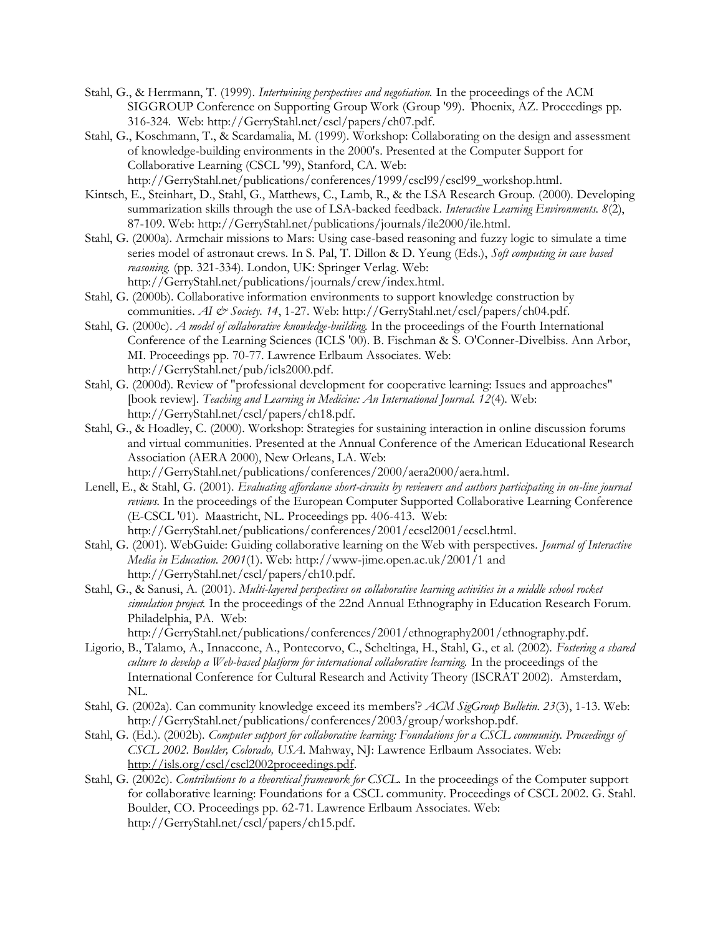- Stahl, G., & Herrmann, T. (1999). *Intertwining perspectives and negotiation.* In the proceedings of the ACM SIGGROUP Conference on Supporting Group Work (Group '99). Phoenix, AZ. Proceedings pp. 316-324. Web: http://GerryStahl.net/cscl/papers/ch07.pdf.
- Stahl, G., Koschmann, T., & Scardamalia, M. (1999). Workshop: Collaborating on the design and assessment of knowledge-building environments in the 2000's. Presented at the Computer Support for Collaborative Learning (CSCL '99), Stanford, CA. Web: http://GerryStahl.net/publications/conferences/1999/cscl99/cscl99\_workshop.html.
- Kintsch, E., Steinhart, D., Stahl, G., Matthews, C., Lamb, R., & the LSA Research Group. (2000). Developing summarization skills through the use of LSA-backed feedback. *Interactive Learning Environments. 8*(2), 87-109. Web: http://GerryStahl.net/publications/journals/ile2000/ile.html.
- Stahl, G. (2000a). Armchair missions to Mars: Using case-based reasoning and fuzzy logic to simulate a time series model of astronaut crews. In S. Pal, T. Dillon & D. Yeung (Eds.), *Soft computing in case based reasoning.* (pp. 321-334). London, UK: Springer Verlag. Web: http://GerryStahl.net/publications/journals/crew/index.html.
- Stahl, G. (2000b). Collaborative information environments to support knowledge construction by communities. *AI & Society. 14*, 1-27. Web: http://GerryStahl.net/cscl/papers/ch04.pdf.
- Stahl, G. (2000c). *A model of collaborative knowledge-building.* In the proceedings of the Fourth International Conference of the Learning Sciences (ICLS '00). B. Fischman & S. O'Conner-Divelbiss. Ann Arbor, MI. Proceedings pp. 70-77. Lawrence Erlbaum Associates. Web: http://GerryStahl.net/pub/icls2000.pdf.
- Stahl, G. (2000d). Review of "professional development for cooperative learning: Issues and approaches" [book review]. *Teaching and Learning in Medicine: An International Journal. 12*(4). Web: http://GerryStahl.net/cscl/papers/ch18.pdf.
- Stahl, G., & Hoadley, C. (2000). Workshop: Strategies for sustaining interaction in online discussion forums and virtual communities. Presented at the Annual Conference of the American Educational Research Association (AERA 2000), New Orleans, LA. Web: http://GerryStahl.net/publications/conferences/2000/aera2000/aera.html.
- Lenell, E., & Stahl, G. (2001). *Evaluating affordance short-circuits by reviewers and authors participating in on-line journal reviews.* In the proceedings of the European Computer Supported Collaborative Learning Conference (E-CSCL '01). Maastricht, NL. Proceedings pp. 406-413. Web: http://GerryStahl.net/publications/conferences/2001/ecscl2001/ecscl.html.
- Stahl, G. (2001). WebGuide: Guiding collaborative learning on the Web with perspectives. *Journal of Interactive Media in Education. 2001*(1). Web: http://www-jime.open.ac.uk/2001/1 and http://GerryStahl.net/cscl/papers/ch10.pdf.
- Stahl, G., & Sanusi, A. (2001). *Multi-layered perspectives on collaborative learning activities in a middle school rocket simulation project.* In the proceedings of the 22nd Annual Ethnography in Education Research Forum. Philadelphia, PA. Web:

http://GerryStahl.net/publications/conferences/2001/ethnography2001/ethnography.pdf.

- Ligorio, B., Talamo, A., Innaccone, A., Pontecorvo, C., Scheltinga, H., Stahl, G., et al. (2002). *Fostering a shared culture to develop a Web-based platform for international collaborative learning.* In the proceedings of the International Conference for Cultural Research and Activity Theory (ISCRAT 2002). Amsterdam, NL.
- Stahl, G. (2002a). Can community knowledge exceed its members'? *ACM SigGroup Bulletin. 23*(3), 1-13. Web: http://GerryStahl.net/publications/conferences/2003/group/workshop.pdf.
- Stahl, G. (Ed.). (2002b). *Computer support for collaborative learning: Foundations for a CSCL community. Proceedings of CSCL 2002. Boulder, Colorado, USA*. Mahway, NJ: Lawrence Erlbaum Associates. Web: http://isls.org/cscl/cscl2002proceedings.pdf.
- Stahl, G. (2002c). *Contributions to a theoretical framework for CSCL.* In the proceedings of the Computer support for collaborative learning: Foundations for a CSCL community. Proceedings of CSCL 2002. G. Stahl. Boulder, CO. Proceedings pp. 62-71. Lawrence Erlbaum Associates. Web: http://GerryStahl.net/cscl/papers/ch15.pdf.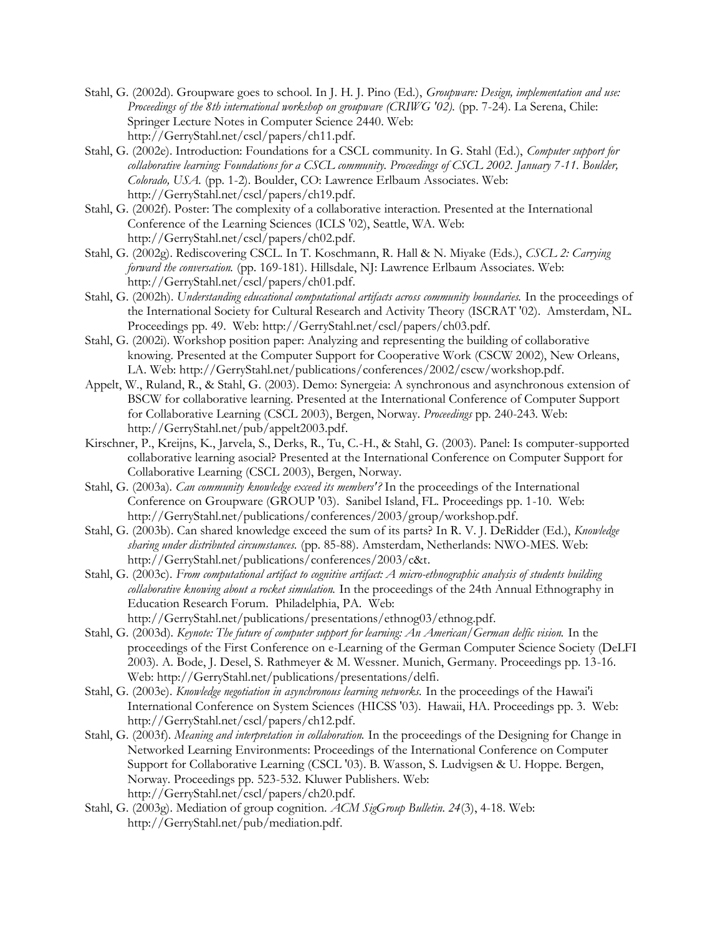- Stahl, G. (2002d). Groupware goes to school. In J. H. J. Pino (Ed.), *Groupware: Design, implementation and use: Proceedings of the 8th international workshop on groupware (CRIWG '02).* (pp. 7-24). La Serena, Chile: Springer Lecture Notes in Computer Science 2440. Web: http://GerryStahl.net/cscl/papers/ch11.pdf.
- Stahl, G. (2002e). Introduction: Foundations for a CSCL community. In G. Stahl (Ed.), *Computer support for collaborative learning: Foundations for a CSCL community. Proceedings of CSCL 2002. January 7-11. Boulder, Colorado, USA.* (pp. 1-2). Boulder, CO: Lawrence Erlbaum Associates. Web: http://GerryStahl.net/cscl/papers/ch19.pdf.
- Stahl, G. (2002f). Poster: The complexity of a collaborative interaction. Presented at the International Conference of the Learning Sciences (ICLS '02), Seattle, WA. Web: http://GerryStahl.net/cscl/papers/ch02.pdf.
- Stahl, G. (2002g). Rediscovering CSCL. In T. Koschmann, R. Hall & N. Miyake (Eds.), *CSCL 2: Carrying forward the conversation.* (pp. 169-181). Hillsdale, NJ: Lawrence Erlbaum Associates. Web: http://GerryStahl.net/cscl/papers/ch01.pdf.
- Stahl, G. (2002h). *Understanding educational computational artifacts across community boundaries.* In the proceedings of the International Society for Cultural Research and Activity Theory (ISCRAT '02). Amsterdam, NL. Proceedings pp. 49. Web: http://GerryStahl.net/cscl/papers/ch03.pdf.
- Stahl, G. (2002i). Workshop position paper: Analyzing and representing the building of collaborative knowing. Presented at the Computer Support for Cooperative Work (CSCW 2002), New Orleans, LA. Web: http://GerryStahl.net/publications/conferences/2002/cscw/workshop.pdf.
- Appelt, W., Ruland, R., & Stahl, G. (2003). Demo: Synergeia: A synchronous and asynchronous extension of BSCW for collaborative learning. Presented at the International Conference of Computer Support for Collaborative Learning (CSCL 2003), Bergen, Norway. *Proceedings* pp. 240-243. Web: http://GerryStahl.net/pub/appelt2003.pdf.
- Kirschner, P., Kreijns, K., Jarvela, S., Derks, R., Tu, C.-H., & Stahl, G. (2003). Panel: Is computer-supported collaborative learning asocial? Presented at the International Conference on Computer Support for Collaborative Learning (CSCL 2003), Bergen, Norway.
- Stahl, G. (2003a). *Can community knowledge exceed its members'?* In the proceedings of the International Conference on Groupware (GROUP '03). Sanibel Island, FL. Proceedings pp. 1-10. Web: http://GerryStahl.net/publications/conferences/2003/group/workshop.pdf.
- Stahl, G. (2003b). Can shared knowledge exceed the sum of its parts? In R. V. J. DeRidder (Ed.), *Knowledge sharing under distributed circumstances.* (pp. 85-88). Amsterdam, Netherlands: NWO-MES. Web: http://GerryStahl.net/publications/conferences/2003/c&t.
- Stahl, G. (2003c). *From computational artifact to cognitive artifact: A micro-ethnographic analysis of students building collaborative knowing about a rocket simulation.* In the proceedings of the 24th Annual Ethnography in Education Research Forum. Philadelphia, PA. Web: http://GerryStahl.net/publications/presentations/ethnog03/ethnog.pdf.
- Stahl, G. (2003d). *Keynote: The future of computer support for learning: An American/German delfic vision.* In the proceedings of the First Conference on e-Learning of the German Computer Science Society (DeLFI 2003). A. Bode, J. Desel, S. Rathmeyer & M. Wessner. Munich, Germany. Proceedings pp. 13-16. Web: http://GerryStahl.net/publications/presentations/delfi.
- Stahl, G. (2003e). *Knowledge negotiation in asynchronous learning networks.* In the proceedings of the Hawai'i International Conference on System Sciences (HICSS '03). Hawaii, HA. Proceedings pp. 3. Web: http://GerryStahl.net/cscl/papers/ch12.pdf.
- Stahl, G. (2003f). *Meaning and interpretation in collaboration.* In the proceedings of the Designing for Change in Networked Learning Environments: Proceedings of the International Conference on Computer Support for Collaborative Learning (CSCL '03). B. Wasson, S. Ludvigsen & U. Hoppe. Bergen, Norway. Proceedings pp. 523-532. Kluwer Publishers. Web: http://GerryStahl.net/cscl/papers/ch20.pdf.
- Stahl, G. (2003g). Mediation of group cognition. *ACM SigGroup Bulletin. 24*(3), 4-18. Web: http://GerryStahl.net/pub/mediation.pdf.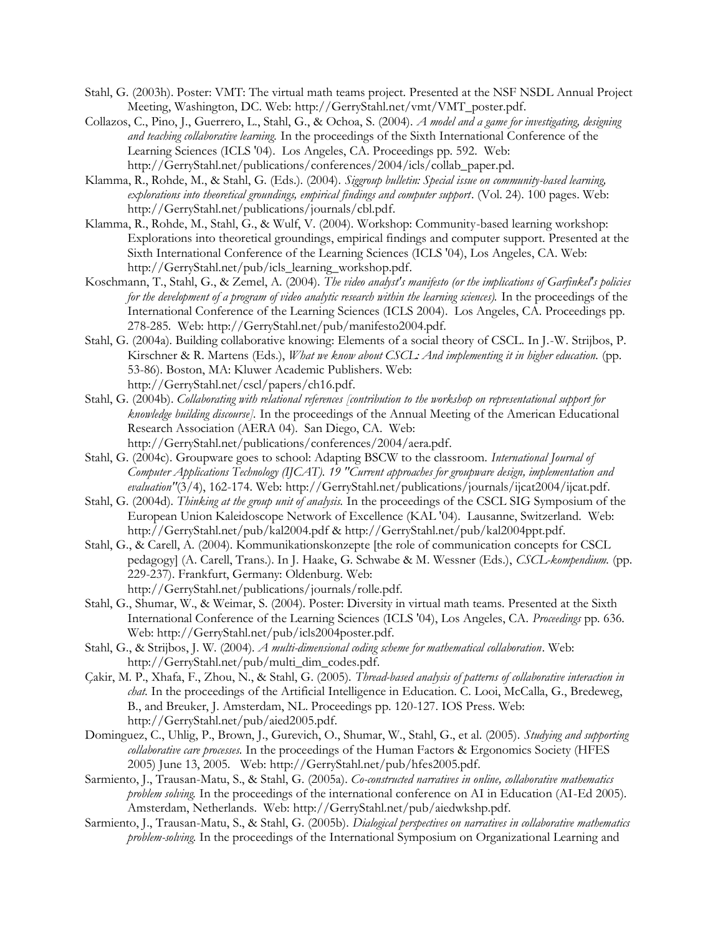- Stahl, G. (2003h). Poster: VMT: The virtual math teams project. Presented at the NSF NSDL Annual Project Meeting, Washington, DC. Web: http://GerryStahl.net/vmt/VMT\_poster.pdf.
- Collazos, C., Pino, J., Guerrero, L., Stahl, G., & Ochoa, S. (2004). *A model and a game for investigating, designing and teaching collaborative learning.* In the proceedings of the Sixth International Conference of the Learning Sciences (ICLS '04). Los Angeles, CA. Proceedings pp. 592. Web: http://GerryStahl.net/publications/conferences/2004/icls/collab\_paper.pd.
- Klamma, R., Rohde, M., & Stahl, G. (Eds.). (2004). *Siggroup bulletin: Special issue on community-based learning, explorations into theoretical groundings, empirical findings and computer support*. (Vol. 24). 100 pages. Web: http://GerryStahl.net/publications/journals/cbl.pdf.
- Klamma, R., Rohde, M., Stahl, G., & Wulf, V. (2004). Workshop: Community-based learning workshop: Explorations into theoretical groundings, empirical findings and computer support. Presented at the Sixth International Conference of the Learning Sciences (ICLS '04), Los Angeles, CA. Web: http://GerryStahl.net/pub/icls\_learning\_workshop.pdf.
- Koschmann, T., Stahl, G., & Zemel, A. (2004). *The video analyst's manifesto (or the implications of Garfinkel's policies for the development of a program of video analytic research within the learning sciences).* In the proceedings of the International Conference of the Learning Sciences (ICLS 2004). Los Angeles, CA. Proceedings pp. 278-285. Web: http://GerryStahl.net/pub/manifesto2004.pdf.
- Stahl, G. (2004a). Building collaborative knowing: Elements of a social theory of CSCL. In J.-W. Strijbos, P. Kirschner & R. Martens (Eds.), *What we know about CSCL: And implementing it in higher education.* (pp. 53-86). Boston, MA: Kluwer Academic Publishers. Web: http://GerryStahl.net/cscl/papers/ch16.pdf.
- Stahl, G. (2004b). *Collaborating with relational references [contribution to the workshop on representational support for knowledge building discourse].* In the proceedings of the Annual Meeting of the American Educational Research Association (AERA 04). San Diego, CA. Web: http://GerryStahl.net/publications/conferences/2004/aera.pdf.
- Stahl, G. (2004c). Groupware goes to school: Adapting BSCW to the classroom. *International Journal of Computer Applications Technology (IJCAT). 19 "Current approaches for groupware design, implementation and*  evaluation"(3/4), 162-174. Web: http://GerryStahl.net/publications/journals/ijcat2004/ijcat.pdf.
- Stahl, G. (2004d). *Thinking at the group unit of analysis.* In the proceedings of the CSCL SIG Symposium of the European Union Kaleidoscope Network of Excellence (KAL '04). Lausanne, Switzerland. Web: http://GerryStahl.net/pub/kal2004.pdf & http://GerryStahl.net/pub/kal2004ppt.pdf.
- Stahl, G., & Carell, A. (2004). Kommunikationskonzepte [the role of communication concepts for CSCL pedagogy] (A. Carell, Trans.). In J. Haake, G. Schwabe & M. Wessner (Eds.), *CSCL-kompendium.* (pp. 229-237). Frankfurt, Germany: Oldenburg. Web: http://GerryStahl.net/publications/journals/rolle.pdf.
- Stahl, G., Shumar, W., & Weimar, S. (2004). Poster: Diversity in virtual math teams. Presented at the Sixth International Conference of the Learning Sciences (ICLS '04), Los Angeles, CA. *Proceedings* pp. 636. Web: http://GerryStahl.net/pub/icls2004poster.pdf.
- Stahl, G., & Strijbos, J. W. (2004). *A multi-dimensional coding scheme for mathematical collaboration*. Web: http://GerryStahl.net/pub/multi\_dim\_codes.pdf.
- Çakir, M. P., Xhafa, F., Zhou, N., & Stahl, G. (2005). *Thread-based analysis of patterns of collaborative interaction in chat.* In the proceedings of the Artificial Intelligence in Education. C. Looi, McCalla, G., Bredeweg, B., and Breuker, J. Amsterdam, NL. Proceedings pp. 120-127. IOS Press. Web: http://GerryStahl.net/pub/aied2005.pdf.
- Dominguez, C., Uhlig, P., Brown, J., Gurevich, O., Shumar, W., Stahl, G., et al. (2005). *Studying and supporting collaborative care processes.* In the proceedings of the Human Factors & Ergonomics Society (HFES 2005) June 13, 2005. Web: http://GerryStahl.net/pub/hfes2005.pdf.
- Sarmiento, J., Trausan-Matu, S., & Stahl, G. (2005a). *Co-constructed narratives in online, collaborative mathematics problem solving.* In the proceedings of the international conference on AI in Education (AI-Ed 2005). Amsterdam, Netherlands. Web: http://GerryStahl.net/pub/aiedwkshp.pdf.
- Sarmiento, J., Trausan-Matu, S., & Stahl, G. (2005b). *Dialogical perspectives on narratives in collaborative mathematics problem-solving.* In the proceedings of the International Symposium on Organizational Learning and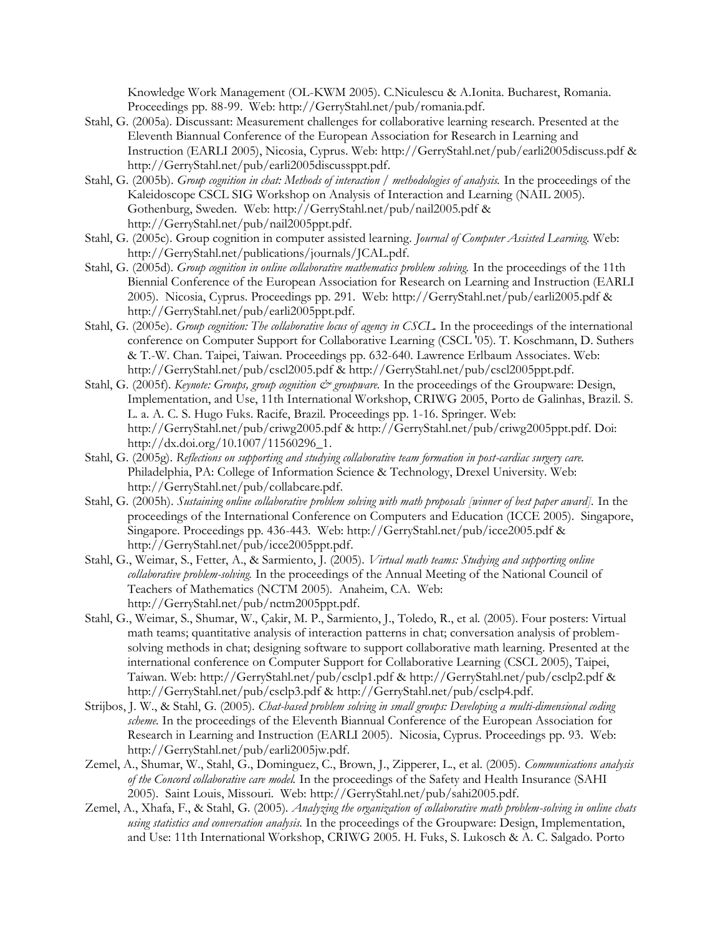Knowledge Work Management (OL-KWM 2005). C.Niculescu & A.Ionita. Bucharest, Romania. Proceedings pp. 88-99. Web: http://GerryStahl.net/pub/romania.pdf.

- Stahl, G. (2005a). Discussant: Measurement challenges for collaborative learning research. Presented at the Eleventh Biannual Conference of the European Association for Research in Learning and Instruction (EARLI 2005), Nicosia, Cyprus. Web: http://GerryStahl.net/pub/earli2005discuss.pdf & http://GerryStahl.net/pub/earli2005discussppt.pdf.
- Stahl, G. (2005b). *Group cognition in chat: Methods of interaction / methodologies of analysis.* In the proceedings of the Kaleidoscope CSCL SIG Workshop on Analysis of Interaction and Learning (NAIL 2005). Gothenburg, Sweden. Web: http://GerryStahl.net/pub/nail2005.pdf & http://GerryStahl.net/pub/nail2005ppt.pdf.
- Stahl, G. (2005c). Group cognition in computer assisted learning. *Journal of Computer Assisted Learning.* Web: http://GerryStahl.net/publications/journals/JCAL.pdf.
- Stahl, G. (2005d). *Group cognition in online collaborative mathematics problem solving.* In the proceedings of the 11th Biennial Conference of the European Association for Research on Learning and Instruction (EARLI 2005). Nicosia, Cyprus. Proceedings pp. 291. Web: http://GerryStahl.net/pub/earli2005.pdf & http://GerryStahl.net/pub/earli2005ppt.pdf.
- Stahl, G. (2005e). *Group cognition: The collaborative locus of agency in CSCL.* In the proceedings of the international conference on Computer Support for Collaborative Learning (CSCL '05). T. Koschmann, D. Suthers & T.-W. Chan. Taipei, Taiwan. Proceedings pp. 632-640. Lawrence Erlbaum Associates. Web: http://GerryStahl.net/pub/cscl2005.pdf & http://GerryStahl.net/pub/cscl2005ppt.pdf.
- Stahl, G. (2005f). *Keynote: Groups, group cognition*  $\breve{c}$  *groupware*. In the proceedings of the Groupware: Design, Implementation, and Use, 11th International Workshop, CRIWG 2005, Porto de Galinhas, Brazil. S. L. a. A. C. S. Hugo Fuks. Racife, Brazil. Proceedings pp. 1-16. Springer. Web: http://GerryStahl.net/pub/criwg2005.pdf & http://GerryStahl.net/pub/criwg2005ppt.pdf. Doi: http://dx.doi.org/10.1007/11560296\_1.
- Stahl, G. (2005g). *Reflections on supporting and studying collaborative team formation in post-cardiac surgery care*. Philadelphia, PA: College of Information Science & Technology, Drexel University. Web: http://GerryStahl.net/pub/collabcare.pdf.
- Stahl, G. (2005h). *Sustaining online collaborative problem solving with math proposals [winner of best paper award].* In the proceedings of the International Conference on Computers and Education (ICCE 2005). Singapore, Singapore. Proceedings pp. 436-443. Web: http://GerryStahl.net/pub/icce2005.pdf & http://GerryStahl.net/pub/icce2005ppt.pdf.
- Stahl, G., Weimar, S., Fetter, A., & Sarmiento, J. (2005). *Virtual math teams: Studying and supporting online collaborative problem-solving.* In the proceedings of the Annual Meeting of the National Council of Teachers of Mathematics (NCTM 2005). Anaheim, CA. Web: http://GerryStahl.net/pub/nctm2005ppt.pdf.
- Stahl, G., Weimar, S., Shumar, W., Çakir, M. P., Sarmiento, J., Toledo, R., et al. (2005). Four posters: Virtual math teams; quantitative analysis of interaction patterns in chat; conversation analysis of problemsolving methods in chat; designing software to support collaborative math learning. Presented at the international conference on Computer Support for Collaborative Learning (CSCL 2005), Taipei, Taiwan. Web: http://GerryStahl.net/pub/csclp1.pdf & http://GerryStahl.net/pub/csclp2.pdf & http://GerryStahl.net/pub/csclp3.pdf & http://GerryStahl.net/pub/csclp4.pdf.
- Strijbos, J. W., & Stahl, G. (2005). *Chat-based problem solving in small groups: Developing a multi-dimensional coding scheme.* In the proceedings of the Eleventh Biannual Conference of the European Association for Research in Learning and Instruction (EARLI 2005). Nicosia, Cyprus. Proceedings pp. 93. Web: http://GerryStahl.net/pub/earli2005jw.pdf.
- Zemel, A., Shumar, W., Stahl, G., Dominguez, C., Brown, J., Zipperer, L., et al. (2005). *Communications analysis of the Concord collaborative care model.* In the proceedings of the Safety and Health Insurance (SAHI 2005). Saint Louis, Missouri. Web: http://GerryStahl.net/pub/sahi2005.pdf.
- Zemel, A., Xhafa, F., & Stahl, G. (2005). *Analyzing the organization of collaborative math problem-solving in online chats using statistics and conversation analysis.* In the proceedings of the Groupware: Design, Implementation, and Use: 11th International Workshop, CRIWG 2005. H. Fuks, S. Lukosch & A. C. Salgado. Porto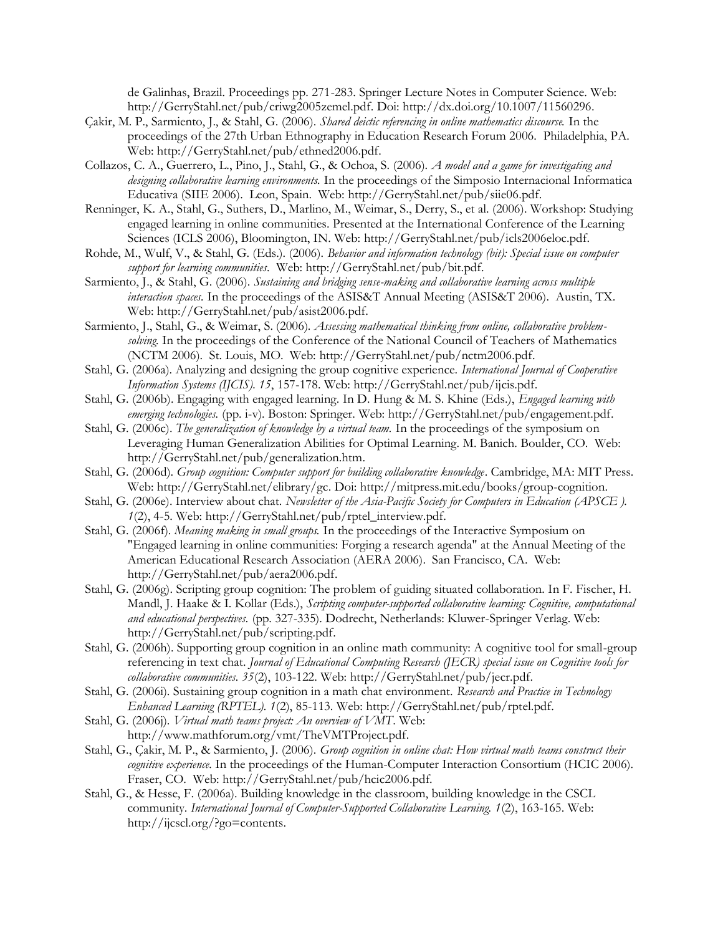de Galinhas, Brazil. Proceedings pp. 271-283. Springer Lecture Notes in Computer Science. Web: http://GerryStahl.net/pub/criwg2005zemel.pdf. Doi: http://dx.doi.org/10.1007/11560296.

- Çakir, M. P., Sarmiento, J., & Stahl, G. (2006). *Shared deictic referencing in online mathematics discourse.* In the proceedings of the 27th Urban Ethnography in Education Research Forum 2006. Philadelphia, PA. Web: http://GerryStahl.net/pub/ethned2006.pdf.
- Collazos, C. A., Guerrero, L., Pino, J., Stahl, G., & Ochoa, S. (2006). *A model and a game for investigating and designing collaborative learning environments.* In the proceedings of the Simposio Internacional Informatica Educativa (SIIE 2006). Leon, Spain. Web: http://GerryStahl.net/pub/siie06.pdf.
- Renninger, K. A., Stahl, G., Suthers, D., Marlino, M., Weimar, S., Derry, S., et al. (2006). Workshop: Studying engaged learning in online communities. Presented at the International Conference of the Learning Sciences (ICLS 2006), Bloomington, IN. Web: http://GerryStahl.net/pub/icls2006eloc.pdf.
- Rohde, M., Wulf, V., & Stahl, G. (Eds.). (2006). *Behavior and information technology (bit): Special issue on computer support for learning communities*. Web: http://GerryStahl.net/pub/bit.pdf.
- Sarmiento, J., & Stahl, G. (2006). *Sustaining and bridging sense-making and collaborative learning across multiple interaction spaces.* In the proceedings of the ASIS&T Annual Meeting (ASIS&T 2006). Austin, TX. Web: http://GerryStahl.net/pub/asist2006.pdf.
- Sarmiento, J., Stahl, G., & Weimar, S. (2006). *Assessing mathematical thinking from online, collaborative problemsolving.* In the proceedings of the Conference of the National Council of Teachers of Mathematics (NCTM 2006). St. Louis, MO. Web: http://GerryStahl.net/pub/nctm2006.pdf.
- Stahl, G. (2006a). Analyzing and designing the group cognitive experience. *International Journal of Cooperative Information Systems (IJCIS). 15*, 157-178. Web: http://GerryStahl.net/pub/ijcis.pdf.
- Stahl, G. (2006b). Engaging with engaged learning. In D. Hung & M. S. Khine (Eds.), *Engaged learning with emerging technologies.* (pp. i-v). Boston: Springer. Web: http://GerryStahl.net/pub/engagement.pdf.
- Stahl, G. (2006c). *The generalization of knowledge by a virtual team.* In the proceedings of the symposium on Leveraging Human Generalization Abilities for Optimal Learning. M. Banich. Boulder, CO. Web: http://GerryStahl.net/pub/generalization.htm.
- Stahl, G. (2006d). *Group cognition: Computer support for building collaborative knowledge*. Cambridge, MA: MIT Press. Web: http://GerryStahl.net/elibrary/gc. Doi: http://mitpress.mit.edu/books/group-cognition.
- Stahl, G. (2006e). Interview about chat. *Newsletter of the Asia-Pacific Society for Computers in Education (APSCE)*. *1*(2), 4-5. Web: http://GerryStahl.net/pub/rptel\_interview.pdf.
- Stahl, G. (2006f). *Meaning making in small groups.* In the proceedings of the Interactive Symposium on "Engaged learning in online communities: Forging a research agenda" at the Annual Meeting of the American Educational Research Association (AERA 2006). San Francisco, CA. Web: http://GerryStahl.net/pub/aera2006.pdf.
- Stahl, G. (2006g). Scripting group cognition: The problem of guiding situated collaboration. In F. Fischer, H. Mandl, J. Haake & I. Kollar (Eds.), *Scripting computer-supported collaborative learning: Cognitive, computational and educational perspectives.* (pp. 327-335). Dodrecht, Netherlands: Kluwer-Springer Verlag. Web: http://GerryStahl.net/pub/scripting.pdf.
- Stahl, G. (2006h). Supporting group cognition in an online math community: A cognitive tool for small-group referencing in text chat. *Journal of Educational Computing Research (JECR) special issue on Cognitive tools for collaborative communities. 35*(2), 103-122. Web: http://GerryStahl.net/pub/jecr.pdf.
- Stahl, G. (2006i). Sustaining group cognition in a math chat environment. *Research and Practice in Technology Enhanced Learning (RPTEL). 1*(2), 85-113. Web: http://GerryStahl.net/pub/rptel.pdf.
- Stahl, G. (2006j). *Virtual math teams project: An overview of VMT*. Web: http://www.mathforum.org/vmt/TheVMTProject.pdf.
- Stahl, G., Çakir, M. P., & Sarmiento, J. (2006). *Group cognition in online chat: How virtual math teams construct their cognitive experience.* In the proceedings of the Human-Computer Interaction Consortium (HCIC 2006). Fraser, CO. Web: http://GerryStahl.net/pub/hcic2006.pdf.
- Stahl, G., & Hesse, F. (2006a). Building knowledge in the classroom, building knowledge in the CSCL community. *International Journal of Computer-Supported Collaborative Learning. 1*(2), 163-165. Web: http://ijcscl.org/?go=contents.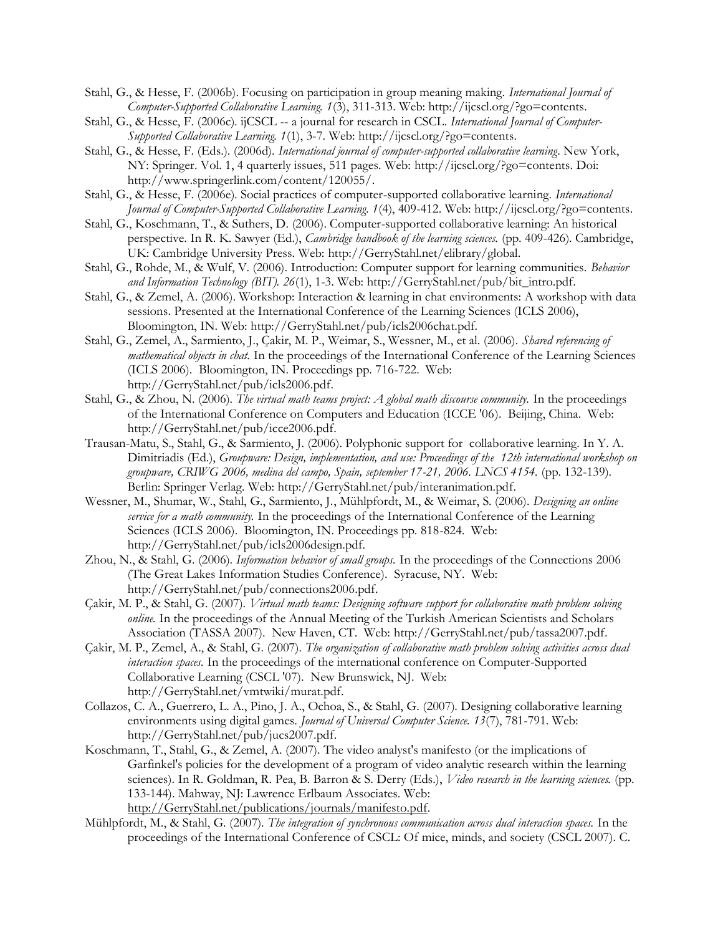Stahl, G., & Hesse, F. (2006b). Focusing on participation in group meaning making. *International Journal of Computer-Supported Collaborative Learning. 1*(3), 311-313. Web: http://ijcscl.org/?go=contents.

- Stahl, G., & Hesse, F. (2006c). ijCSCL -- a journal for research in CSCL. *International Journal of Computer-Supported Collaborative Learning. 1*(1), 3-7. Web: http://ijcscl.org/?go=contents.
- Stahl, G., & Hesse, F. (Eds.). (2006d). *International journal of computer-supported collaborative learning*. New York, NY: Springer. Vol. 1, 4 quarterly issues, 511 pages. Web: http://ijcscl.org/?go=contents. Doi: http://www.springerlink.com/content/120055/.
- Stahl, G., & Hesse, F. (2006e). Social practices of computer-supported collaborative learning. *International Journal of Computer-Supported Collaborative Learning. 1*(4), 409-412. Web: http://ijcscl.org/?go=contents.
- Stahl, G., Koschmann, T., & Suthers, D. (2006). Computer-supported collaborative learning: An historical perspective. In R. K. Sawyer (Ed.), *Cambridge handbook of the learning sciences.* (pp. 409-426). Cambridge, UK: Cambridge University Press. Web: http://GerryStahl.net/elibrary/global.
- Stahl, G., Rohde, M., & Wulf, V. (2006). Introduction: Computer support for learning communities. *Behavior and Information Technology (BIT). 26*(1), 1-3. Web: http://GerryStahl.net/pub/bit\_intro.pdf.
- Stahl, G., & Zemel, A. (2006). Workshop: Interaction & learning in chat environments: A workshop with data sessions. Presented at the International Conference of the Learning Sciences (ICLS 2006), Bloomington, IN. Web: http://GerryStahl.net/pub/icls2006chat.pdf.
- Stahl, G., Zemel, A., Sarmiento, J., Çakir, M. P., Weimar, S., Wessner, M., et al. (2006). *Shared referencing of mathematical objects in chat.* In the proceedings of the International Conference of the Learning Sciences (ICLS 2006). Bloomington, IN. Proceedings pp. 716-722. Web: http://GerryStahl.net/pub/icls2006.pdf.
- Stahl, G., & Zhou, N. (2006). *The virtual math teams project: A global math discourse community.* In the proceedings of the International Conference on Computers and Education (ICCE '06). Beijing, China. Web: http://GerryStahl.net/pub/icce2006.pdf.
- Trausan-Matu, S., Stahl, G., & Sarmiento, J. (2006). Polyphonic support for collaborative learning. In Y. A. Dimitriadis (Ed.), *Groupware: Design, implementation, and use: Proceedings of the 12th international workshop on groupware, CRIWG 2006, medina del campo, Spain, september 17-21, 2006. LNCS 4154.* (pp. 132-139). Berlin: Springer Verlag. Web: http://GerryStahl.net/pub/interanimation.pdf.
- Wessner, M., Shumar, W., Stahl, G., Sarmiento, J., Mühlpfordt, M., & Weimar, S. (2006). *Designing an online service for a math community.* In the proceedings of the International Conference of the Learning Sciences (ICLS 2006). Bloomington, IN. Proceedings pp. 818-824. Web: http://GerryStahl.net/pub/icls2006design.pdf.
- Zhou, N., & Stahl, G. (2006). *Information behavior of small groups.* In the proceedings of the Connections 2006 (The Great Lakes Information Studies Conference). Syracuse, NY. Web: http://GerryStahl.net/pub/connections2006.pdf.
- Çakir, M. P., & Stahl, G. (2007). *Virtual math teams: Designing software support for collaborative math problem solving online.* In the proceedings of the Annual Meeting of the Turkish American Scientists and Scholars Association (TASSA 2007). New Haven, CT. Web: http://GerryStahl.net/pub/tassa2007.pdf.
- Çakir, M. P., Zemel, A., & Stahl, G. (2007). *The organization of collaborative math problem solving activities across dual interaction spaces.* In the proceedings of the international conference on Computer-Supported Collaborative Learning (CSCL '07). New Brunswick, NJ. Web: http://GerryStahl.net/vmtwiki/murat.pdf.
- Collazos, C. A., Guerrero, L. A., Pino, J. A., Ochoa, S., & Stahl, G. (2007). Designing collaborative learning environments using digital games. *Journal of Universal Computer Science. 13*(7), 781-791. Web: http://GerryStahl.net/pub/jucs2007.pdf.
- Koschmann, T., Stahl, G., & Zemel, A. (2007). The video analyst's manifesto (or the implications of Garfinkel's policies for the development of a program of video analytic research within the learning sciences). In R. Goldman, R. Pea, B. Barron & S. Derry (Eds.), *Video research in the learning sciences.* (pp. 133-144). Mahway, NJ: Lawrence Erlbaum Associates. Web: http://GerryStahl.net/publications/journals/manifesto.pdf.
- Mühlpfordt, M., & Stahl, G. (2007). *The integration of synchronous communication across dual interaction spaces.* In the proceedings of the International Conference of CSCL: Of mice, minds, and society (CSCL 2007). C.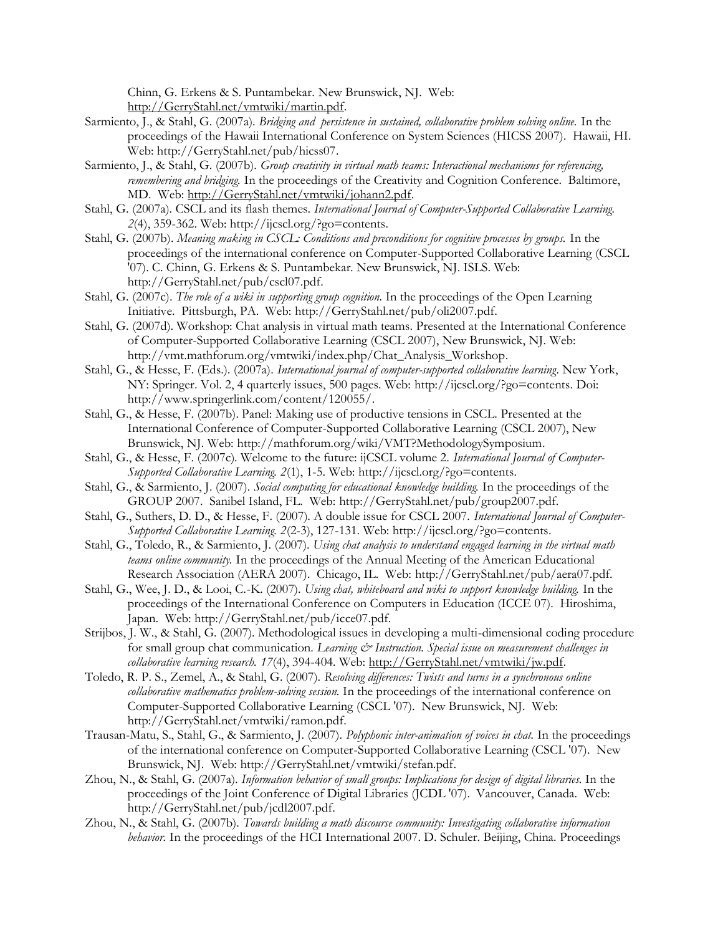Chinn, G. Erkens & S. Puntambekar. New Brunswick, NJ. Web: http://GerryStahl.net/vmtwiki/martin.pdf.

- Sarmiento, J., & Stahl, G. (2007a). *Bridging and persistence in sustained, collaborative problem solving online.* In the proceedings of the Hawaii International Conference on System Sciences (HICSS 2007). Hawaii, HI. Web: http://GerryStahl.net/pub/hicss07.
- Sarmiento, J., & Stahl, G. (2007b). *Group creativity in virtual math teams: Interactional mechanisms for referencing, remembering and bridging*. In the proceedings of the Creativity and Cognition Conference. Baltimore, MD. Web: http://GerryStahl.net/vmtwiki/johann2.pdf.
- Stahl, G. (2007a). CSCL and its flash themes. *International Journal of Computer-Supported Collaborative Learning. 2*(4), 359-362. Web: http://ijcscl.org/?go=contents.
- Stahl, G. (2007b). *Meaning making in CSCL: Conditions and preconditions for cognitive processes by groups.* In the proceedings of the international conference on Computer-Supported Collaborative Learning (CSCL '07). C. Chinn, G. Erkens & S. Puntambekar. New Brunswick, NJ. ISLS. Web: http://GerryStahl.net/pub/cscl07.pdf.
- Stahl, G. (2007c). *The role of a wiki in supporting group cognition.* In the proceedings of the Open Learning Initiative. Pittsburgh, PA. Web: http://GerryStahl.net/pub/oli2007.pdf.
- Stahl, G. (2007d). Workshop: Chat analysis in virtual math teams. Presented at the International Conference of Computer-Supported Collaborative Learning (CSCL 2007), New Brunswick, NJ. Web: http://vmt.mathforum.org/vmtwiki/index.php/Chat\_Analysis\_Workshop.
- Stahl, G., & Hesse, F. (Eds.). (2007a). *International journal of computer-supported collaborative learning*. New York, NY: Springer. Vol. 2, 4 quarterly issues, 500 pages. Web: http://ijcscl.org/?go=contents. Doi: http://www.springerlink.com/content/120055/.
- Stahl, G., & Hesse, F. (2007b). Panel: Making use of productive tensions in CSCL. Presented at the International Conference of Computer-Supported Collaborative Learning (CSCL 2007), New Brunswick, NJ. Web: http://mathforum.org/wiki/VMT?MethodologySymposium.
- Stahl, G., & Hesse, F. (2007c). Welcome to the future: ijCSCL volume 2. *International Journal of Computer-Supported Collaborative Learning. 2*(1), 1-5. Web: http://ijcscl.org/?go=contents.
- Stahl, G., & Sarmiento, J. (2007). *Social computing for educational knowledge building.* In the proceedings of the GROUP 2007. Sanibel Island, FL. Web: http://GerryStahl.net/pub/group2007.pdf.
- Stahl, G., Suthers, D. D., & Hesse, F. (2007). A double issue for CSCL 2007. *International Journal of Computer-Supported Collaborative Learning. 2*(2-3), 127-131. Web: http://ijcscl.org/?go=contents.
- Stahl, G., Toledo, R., & Sarmiento, J. (2007). *Using chat analysis to understand engaged learning in the virtual math teams online community.* In the proceedings of the Annual Meeting of the American Educational Research Association (AERA 2007). Chicago, IL. Web: http://GerryStahl.net/pub/aera07.pdf.
- Stahl, G., Wee, J. D., & Looi, C.-K. (2007). *Using chat, whiteboard and wiki to support knowledge building.* In the proceedings of the International Conference on Computers in Education (ICCE 07). Hiroshima, Japan. Web: http://GerryStahl.net/pub/icce07.pdf.
- Strijbos, J. W., & Stahl, G. (2007). Methodological issues in developing a multi-dimensional coding procedure for small group chat communication. *Learning*  $\mathcal{C}$  *Instruction. Special issue on measurement challenges in collaborative learning research. 17*(4), 394-404. Web: http://GerryStahl.net/vmtwiki/jw.pdf.
- Toledo, R. P. S., Zemel, A., & Stahl, G. (2007). *Resolving differences: Twists and turns in a synchronous online collaborative mathematics problem-solving session.* In the proceedings of the international conference on Computer-Supported Collaborative Learning (CSCL '07). New Brunswick, NJ. Web: http://GerryStahl.net/vmtwiki/ramon.pdf.
- Trausan-Matu, S., Stahl, G., & Sarmiento, J. (2007). *Polyphonic inter-animation of voices in chat.* In the proceedings of the international conference on Computer-Supported Collaborative Learning (CSCL '07). New Brunswick, NJ. Web: http://GerryStahl.net/vmtwiki/stefan.pdf.
- Zhou, N., & Stahl, G. (2007a). *Information behavior of small groups: Implications for design of digital libraries.* In the proceedings of the Joint Conference of Digital Libraries (JCDL '07). Vancouver, Canada. Web: http://GerryStahl.net/pub/jcdl2007.pdf.
- Zhou, N., & Stahl, G. (2007b). *Towards building a math discourse community: Investigating collaborative information behavior.* In the proceedings of the HCI International 2007. D. Schuler. Beijing, China. Proceedings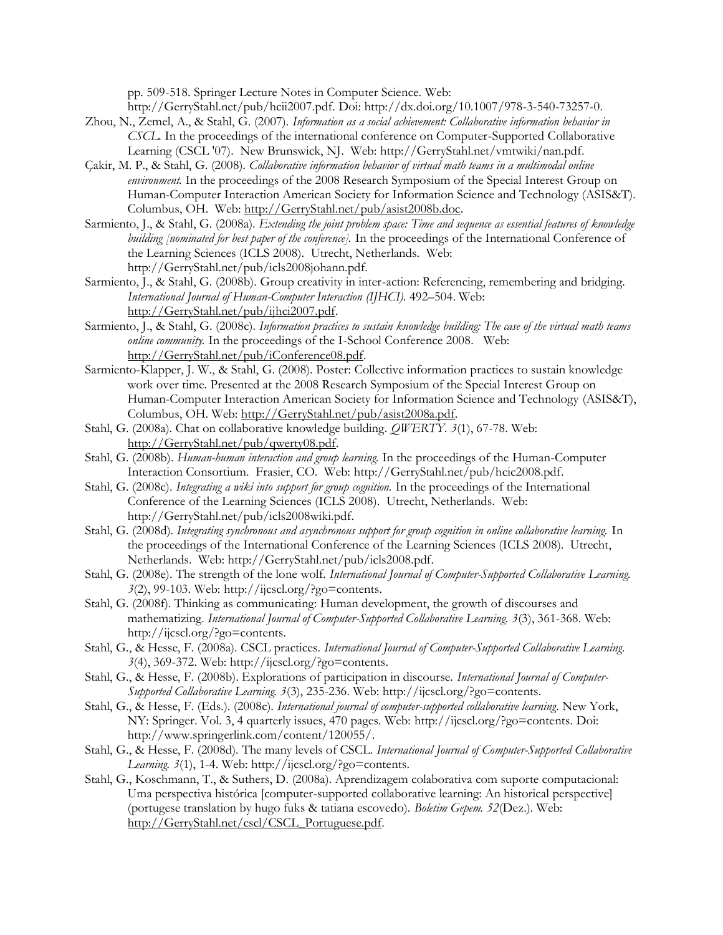pp. 509-518. Springer Lecture Notes in Computer Science. Web:

http://GerryStahl.net/pub/hcii2007.pdf. Doi: http://dx.doi.org/10.1007/978-3-540-73257-0.

- Zhou, N., Zemel, A., & Stahl, G. (2007). *Information as a social achievement: Collaborative information behavior in CSCL.* In the proceedings of the international conference on Computer-Supported Collaborative Learning (CSCL '07). New Brunswick, NJ. Web: http://GerryStahl.net/vmtwiki/nan.pdf.
- Çakir, M. P., & Stahl, G. (2008). *Collaborative information behavior of virtual math teams in a multimodal online environment*. In the proceedings of the 2008 Research Symposium of the Special Interest Group on Human-Computer Interaction American Society for Information Science and Technology (ASIS&T). Columbus, OH. Web: http://GerryStahl.net/pub/asist2008b.doc.
- Sarmiento, J., & Stahl, G. (2008a). *Extending the joint problem space: Time and sequence as essential features of knowledge building [nominated for best paper of the conference].* In the proceedings of the International Conference of the Learning Sciences (ICLS 2008). Utrecht, Netherlands. Web: http://GerryStahl.net/pub/icls2008johann.pdf.
- Sarmiento, J., & Stahl, G. (2008b). Group creativity in inter-action: Referencing, remembering and bridging. *International Journal of Human-Computer Interaction (IJHCI).* 492–504. Web: http://GerryStahl.net/pub/ijhci2007.pdf.
- Sarmiento, J., & Stahl, G. (2008c). *Information practices to sustain knowledge building: The case of the virtual math teams online community.* In the proceedings of the I-School Conference 2008. Web: http://GerryStahl.net/pub/iConference08.pdf.
- Sarmiento-Klapper, J. W., & Stahl, G. (2008). Poster: Collective information practices to sustain knowledge work over time. Presented at the 2008 Research Symposium of the Special Interest Group on Human-Computer Interaction American Society for Information Science and Technology (ASIS&T), Columbus, OH. Web: http://GerryStahl.net/pub/asist2008a.pdf.
- Stahl, G. (2008a). Chat on collaborative knowledge building. *QWERTY. 3*(1), 67-78. Web: http://GerryStahl.net/pub/qwerty08.pdf.
- Stahl, G. (2008b). *Human-human interaction and group learning.* In the proceedings of the Human-Computer Interaction Consortium. Frasier, CO. Web: http://GerryStahl.net/pub/hcic2008.pdf.
- Stahl, G. (2008c). *Integrating a wiki into support for group cognition.* In the proceedings of the International Conference of the Learning Sciences (ICLS 2008). Utrecht, Netherlands. Web: http://GerryStahl.net/pub/icls2008wiki.pdf.
- Stahl, G. (2008d). *Integrating synchronous and asynchronous support for group cognition in online collaborative learning.* In the proceedings of the International Conference of the Learning Sciences (ICLS 2008). Utrecht, Netherlands. Web: http://GerryStahl.net/pub/icls2008.pdf.
- Stahl, G. (2008e). The strength of the lone wolf. *International Journal of Computer-Supported Collaborative Learning. 3*(2), 99-103. Web: http://ijcscl.org/?go=contents.
- Stahl, G. (2008f). Thinking as communicating: Human development, the growth of discourses and mathematizing. *International Journal of Computer-Supported Collaborative Learning. 3*(3), 361-368. Web: http://ijcscl.org/?go=contents.
- Stahl, G., & Hesse, F. (2008a). CSCL practices. *International Journal of Computer-Supported Collaborative Learning. 3*(4), 369-372. Web: http://ijcscl.org/?go=contents.
- Stahl, G., & Hesse, F. (2008b). Explorations of participation in discourse. *International Journal of Computer-Supported Collaborative Learning. 3*(3), 235-236. Web: http://ijcscl.org/?go=contents.
- Stahl, G., & Hesse, F. (Eds.). (2008c). *International journal of computer-supported collaborative learning*. New York, NY: Springer. Vol. 3, 4 quarterly issues, 470 pages. Web: http://ijcscl.org/?go=contents. Doi: http://www.springerlink.com/content/120055/.
- Stahl, G., & Hesse, F. (2008d). The many levels of CSCL. *International Journal of Computer-Supported Collaborative Learning. 3*(1), 1-4. Web: http://ijcscl.org/?go=contents.
- Stahl, G., Koschmann, T., & Suthers, D. (2008a). Aprendizagem colaborativa com suporte computacional: Uma perspectiva histórica [computer-supported collaborative learning: An historical perspective] (portugese translation by hugo fuks & tatiana escovedo). *Boletim Gepem. 52*(Dez.). Web: http://GerryStahl.net/cscl/CSCL\_Portuguese.pdf.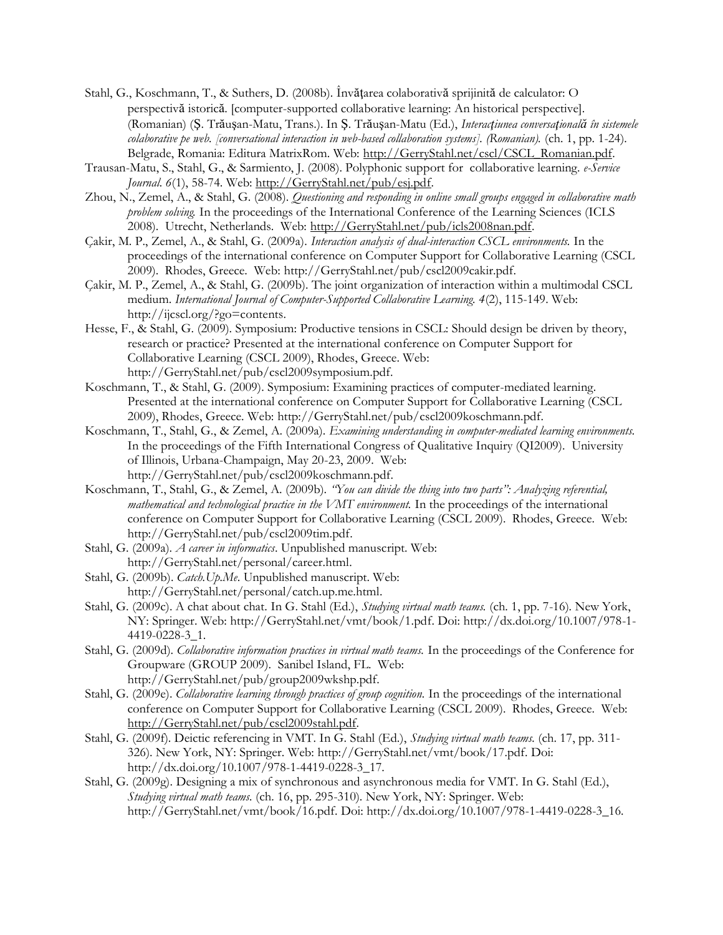- Stahl, G., Koschmann, T., & Suthers, D. (2008b). Învăţarea colaborativă sprijinită de calculator: O perspectivă istorică. [computer-supported collaborative learning: An historical perspective]. (Romanian) (Ş. Trăuşan-Matu, Trans.). In Ş. Trăuşan-Matu (Ed.), *Interacţiunea conversaţională în sistemele colaborative pe web. [conversational interaction in web-based collaboration systems]. (Romanian).* (ch. 1, pp. 1-24). Belgrade, Romania: Editura MatrixRom. Web: http://GerryStahl.net/cscl/CSCL\_Romanian.pdf.
- Trausan-Matu, S., Stahl, G., & Sarmiento, J. (2008). Polyphonic support for collaborative learning. *e-Service Journal. 6*(1), 58-74. Web: http://GerryStahl.net/pub/esj.pdf.
- Zhou, N., Zemel, A., & Stahl, G. (2008). *Questioning and responding in online small groups engaged in collaborative math problem solving.* In the proceedings of the International Conference of the Learning Sciences (ICLS 2008). Utrecht, Netherlands. Web: http://GerryStahl.net/pub/icls2008nan.pdf.
- Çakir, M. P., Zemel, A., & Stahl, G. (2009a). *Interaction analysis of dual-interaction CSCL environments.* In the proceedings of the international conference on Computer Support for Collaborative Learning (CSCL 2009). Rhodes, Greece. Web: http://GerryStahl.net/pub/cscl2009cakir.pdf.
- Çakir, M. P., Zemel, A., & Stahl, G. (2009b). The joint organization of interaction within a multimodal CSCL medium. *International Journal of Computer-Supported Collaborative Learning. 4*(2), 115-149. Web: http://ijcscl.org/?go=contents.
- Hesse, F., & Stahl, G. (2009). Symposium: Productive tensions in CSCL: Should design be driven by theory, research or practice? Presented at the international conference on Computer Support for Collaborative Learning (CSCL 2009), Rhodes, Greece. Web: http://GerryStahl.net/pub/cscl2009symposium.pdf.
- Koschmann, T., & Stahl, G. (2009). Symposium: Examining practices of computer-mediated learning. Presented at the international conference on Computer Support for Collaborative Learning (CSCL 2009), Rhodes, Greece. Web: http://GerryStahl.net/pub/cscl2009koschmann.pdf.
- Koschmann, T., Stahl, G., & Zemel, A. (2009a). *Examining understanding in computer-mediated learning environments.* In the proceedings of the Fifth International Congress of Qualitative Inquiry (QI2009). University of Illinois, Urbana-Champaign, May 20-23, 2009. Web: http://GerryStahl.net/pub/cscl2009koschmann.pdf.
- Koschmann, T., Stahl, G., & Zemel, A. (2009b). *"You can divide the thing into two parts": Analyzing referential, mathematical and technological practice in the VMT environment.* In the proceedings of the international conference on Computer Support for Collaborative Learning (CSCL 2009). Rhodes, Greece. Web: http://GerryStahl.net/pub/cscl2009tim.pdf.
- Stahl, G. (2009a). *A career in informatics*. Unpublished manuscript. Web: http://GerryStahl.net/personal/career.html.
- Stahl, G. (2009b). *Catch.Up.Me*. Unpublished manuscript. Web: http://GerryStahl.net/personal/catch.up.me.html.
- Stahl, G. (2009c). A chat about chat. In G. Stahl (Ed.), *Studying virtual math teams.* (ch. 1, pp. 7-16). New York, NY: Springer. Web: http://GerryStahl.net/vmt/book/1.pdf. Doi: http://dx.doi.org/10.1007/978-1- 4419-0228-3\_1.
- Stahl, G. (2009d). *Collaborative information practices in virtual math teams.* In the proceedings of the Conference for Groupware (GROUP 2009). Sanibel Island, FL. Web: http://GerryStahl.net/pub/group2009wkshp.pdf.
- Stahl, G. (2009e). *Collaborative learning through practices of group cognition.* In the proceedings of the international conference on Computer Support for Collaborative Learning (CSCL 2009). Rhodes, Greece. Web: http://GerryStahl.net/pub/cscl2009stahl.pdf.
- Stahl, G. (2009f). Deictic referencing in VMT. In G. Stahl (Ed.), *Studying virtual math teams.* (ch. 17, pp. 311- 326). New York, NY: Springer. Web: http://GerryStahl.net/vmt/book/17.pdf. Doi: http://dx.doi.org/10.1007/978-1-4419-0228-3\_17.
- Stahl, G. (2009g). Designing a mix of synchronous and asynchronous media for VMT. In G. Stahl (Ed.), *Studying virtual math teams.* (ch. 16, pp. 295-310). New York, NY: Springer. Web: http://GerryStahl.net/vmt/book/16.pdf. Doi: http://dx.doi.org/10.1007/978-1-4419-0228-3\_16.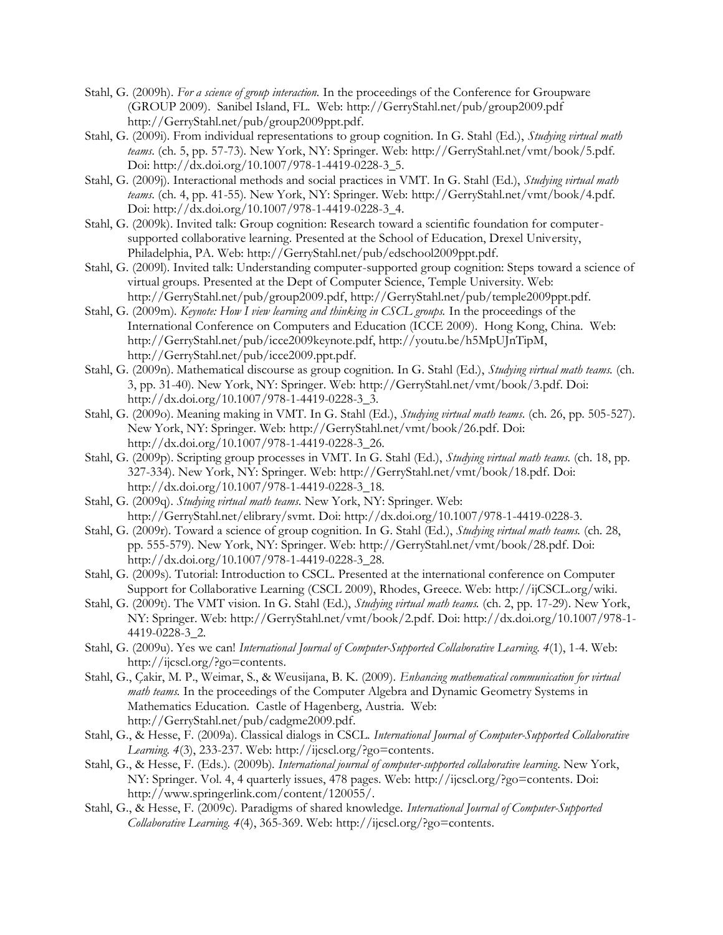- Stahl, G. (2009h). *For a science of group interaction.* In the proceedings of the Conference for Groupware (GROUP 2009). Sanibel Island, FL. Web: http://GerryStahl.net/pub/group2009.pdf http://GerryStahl.net/pub/group2009ppt.pdf.
- Stahl, G. (2009i). From individual representations to group cognition. In G. Stahl (Ed.), *Studying virtual math teams.* (ch. 5, pp. 57-73). New York, NY: Springer. Web: http://GerryStahl.net/vmt/book/5.pdf. Doi: http://dx.doi.org/10.1007/978-1-4419-0228-3\_5.
- Stahl, G. (2009j). Interactional methods and social practices in VMT. In G. Stahl (Ed.), *Studying virtual math teams.* (ch. 4, pp. 41-55). New York, NY: Springer. Web: http://GerryStahl.net/vmt/book/4.pdf. Doi: http://dx.doi.org/10.1007/978-1-4419-0228-3\_4.
- Stahl, G. (2009k). Invited talk: Group cognition: Research toward a scientific foundation for computersupported collaborative learning. Presented at the School of Education, Drexel University, Philadelphia, PA. Web: http://GerryStahl.net/pub/edschool2009ppt.pdf.
- Stahl, G. (2009l). Invited talk: Understanding computer-supported group cognition: Steps toward a science of virtual groups. Presented at the Dept of Computer Science, Temple University. Web: http://GerryStahl.net/pub/group2009.pdf, http://GerryStahl.net/pub/temple2009ppt.pdf.
- Stahl, G. (2009m). *Keynote: How I view learning and thinking in CSCL groups.* In the proceedings of the International Conference on Computers and Education (ICCE 2009). Hong Kong, China. Web: http://GerryStahl.net/pub/icce2009keynote.pdf, http://youtu.be/h5MpUJnTipM, http://GerryStahl.net/pub/icce2009.ppt.pdf.
- Stahl, G. (2009n). Mathematical discourse as group cognition. In G. Stahl (Ed.), *Studying virtual math teams.* (ch. 3, pp. 31-40). New York, NY: Springer. Web: http://GerryStahl.net/vmt/book/3.pdf. Doi: http://dx.doi.org/10.1007/978-1-4419-0228-3\_3.
- Stahl, G. (2009o). Meaning making in VMT. In G. Stahl (Ed.), *Studying virtual math teams.* (ch. 26, pp. 505-527). New York, NY: Springer. Web: http://GerryStahl.net/vmt/book/26.pdf. Doi: http://dx.doi.org/10.1007/978-1-4419-0228-3\_26.
- Stahl, G. (2009p). Scripting group processes in VMT. In G. Stahl (Ed.), *Studying virtual math teams.* (ch. 18, pp. 327-334). New York, NY: Springer. Web: http://GerryStahl.net/vmt/book/18.pdf. Doi: http://dx.doi.org/10.1007/978-1-4419-0228-3\_18.
- Stahl, G. (2009q). *Studying virtual math teams*. New York, NY: Springer. Web: http://GerryStahl.net/elibrary/svmt. Doi: http://dx.doi.org/10.1007/978-1-4419-0228-3.
- Stahl, G. (2009r). Toward a science of group cognition. In G. Stahl (Ed.), *Studying virtual math teams.* (ch. 28, pp. 555-579). New York, NY: Springer. Web: http://GerryStahl.net/vmt/book/28.pdf. Doi: http://dx.doi.org/10.1007/978-1-4419-0228-3\_28.
- Stahl, G. (2009s). Tutorial: Introduction to CSCL. Presented at the international conference on Computer Support for Collaborative Learning (CSCL 2009), Rhodes, Greece. Web: http://ijCSCL.org/wiki.
- Stahl, G. (2009t). The VMT vision. In G. Stahl (Ed.), *Studying virtual math teams.* (ch. 2, pp. 17-29). New York, NY: Springer. Web: http://GerryStahl.net/vmt/book/2.pdf. Doi: http://dx.doi.org/10.1007/978-1- 4419-0228-3\_2.
- Stahl, G. (2009u). Yes we can! *International Journal of Computer-Supported Collaborative Learning. 4*(1), 1-4. Web: http://ijcscl.org/?go=contents.
- Stahl, G., Çakir, M. P., Weimar, S., & Weusijana, B. K. (2009). *Enhancing mathematical communication for virtual math teams*. In the proceedings of the Computer Algebra and Dynamic Geometry Systems in Mathematics Education. Castle of Hagenberg, Austria. Web: http://GerryStahl.net/pub/cadgme2009.pdf.
- Stahl, G., & Hesse, F. (2009a). Classical dialogs in CSCL. *International Journal of Computer-Supported Collaborative Learning. 4*(3), 233-237. Web: http://ijcscl.org/?go=contents.
- Stahl, G., & Hesse, F. (Eds.). (2009b). *International journal of computer-supported collaborative learning*. New York, NY: Springer. Vol. 4, 4 quarterly issues, 478 pages. Web: http://ijcscl.org/?go=contents. Doi: http://www.springerlink.com/content/120055/.
- Stahl, G., & Hesse, F. (2009c). Paradigms of shared knowledge. *International Journal of Computer-Supported Collaborative Learning. 4*(4), 365-369. Web: http://ijcscl.org/?go=contents.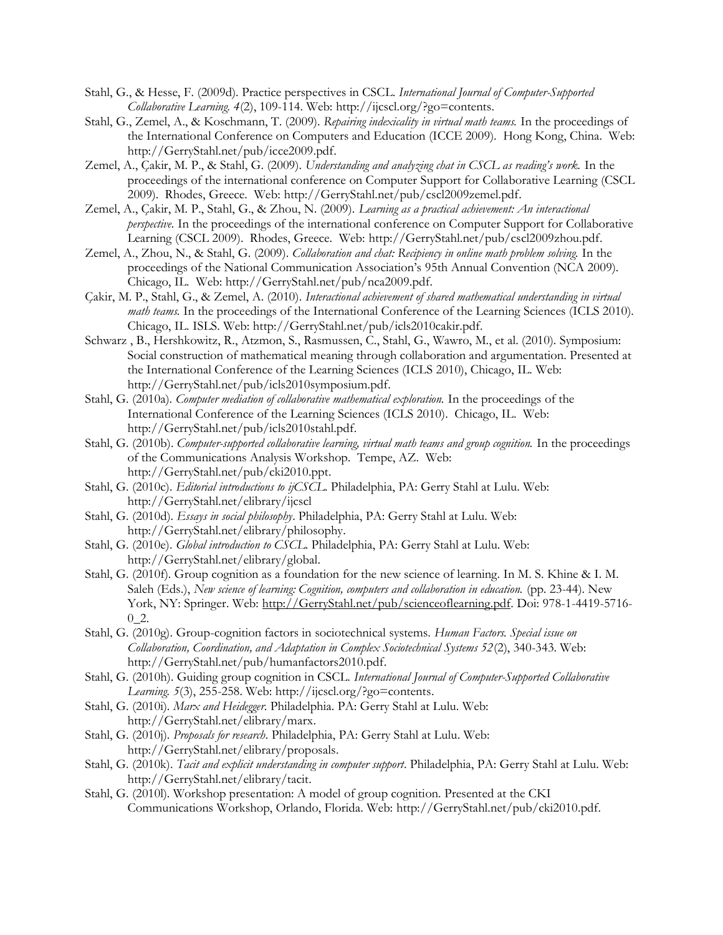- Stahl, G., & Hesse, F. (2009d). Practice perspectives in CSCL. *International Journal of Computer-Supported Collaborative Learning. 4*(2), 109-114. Web: http://ijcscl.org/?go=contents.
- Stahl, G., Zemel, A., & Koschmann, T. (2009). *Repairing indexicality in virtual math teams.* In the proceedings of the International Conference on Computers and Education (ICCE 2009). Hong Kong, China. Web: http://GerryStahl.net/pub/icce2009.pdf.
- Zemel, A., Çakir, M. P., & Stahl, G. (2009). *Understanding and analyzing chat in CSCL as reading's work.* In the proceedings of the international conference on Computer Support for Collaborative Learning (CSCL 2009). Rhodes, Greece. Web: http://GerryStahl.net/pub/cscl2009zemel.pdf.
- Zemel, A., Çakir, M. P., Stahl, G., & Zhou, N. (2009). *Learning as a practical achievement: An interactional perspective.* In the proceedings of the international conference on Computer Support for Collaborative Learning (CSCL 2009). Rhodes, Greece. Web: http://GerryStahl.net/pub/cscl2009zhou.pdf.
- Zemel, A., Zhou, N., & Stahl, G. (2009). *Collaboration and chat: Recipiency in online math problem solving.* In the proceedings of the National Communication Association's 95th Annual Convention (NCA 2009). Chicago, IL. Web: http://GerryStahl.net/pub/nca2009.pdf.
- Çakir, M. P., Stahl, G., & Zemel, A. (2010). *Interactional achievement of shared mathematical understanding in virtual math teams.* In the proceedings of the International Conference of the Learning Sciences (ICLS 2010). Chicago, IL. ISLS. Web: http://GerryStahl.net/pub/icls2010cakir.pdf.
- Schwarz , B., Hershkowitz, R., Atzmon, S., Rasmussen, C., Stahl, G., Wawro, M., et al. (2010). Symposium: Social construction of mathematical meaning through collaboration and argumentation. Presented at the International Conference of the Learning Sciences (ICLS 2010), Chicago, IL. Web: http://GerryStahl.net/pub/icls2010symposium.pdf.
- Stahl, G. (2010a). *Computer mediation of collaborative mathematical exploration.* In the proceedings of the International Conference of the Learning Sciences (ICLS 2010). Chicago, IL. Web: http://GerryStahl.net/pub/icls2010stahl.pdf.
- Stahl, G. (2010b). *Computer-supported collaborative learning, virtual math teams and group cognition.* In the proceedings of the Communications Analysis Workshop. Tempe, AZ. Web: http://GerryStahl.net/pub/cki2010.ppt.
- Stahl, G. (2010c). *Editorial introductions to ijCSCL*. Philadelphia, PA: Gerry Stahl at Lulu. Web: http://GerryStahl.net/elibrary/ijcscl
- Stahl, G. (2010d). *Essays in social philosophy*. Philadelphia, PA: Gerry Stahl at Lulu. Web: http://GerryStahl.net/elibrary/philosophy.
- Stahl, G. (2010e). *Global introduction to CSCL*. Philadelphia, PA: Gerry Stahl at Lulu. Web: http://GerryStahl.net/elibrary/global.
- Stahl, G. (2010f). Group cognition as a foundation for the new science of learning. In M. S. Khine & I. M. Saleh (Eds.), *New science of learning: Cognition, computers and collaboration in education.* (pp. 23-44). New York, NY: Springer. Web: http://GerryStahl.net/pub/scienceoflearning.pdf. Doi: 978-1-4419-5716-0\_2.
- Stahl, G. (2010g). Group-cognition factors in sociotechnical systems. *Human Factors. Special issue on Collaboration, Coordination, and Adaptation in Complex Sociotechnical Systems 52*(2), 340-343. Web: http://GerryStahl.net/pub/humanfactors2010.pdf.
- Stahl, G. (2010h). Guiding group cognition in CSCL. *International Journal of Computer-Supported Collaborative Learning. 5*(3), 255-258. Web: http://ijcscl.org/?go=contents.
- Stahl, G. (2010i). *Marx and Heidegger*. Philadelphia. PA: Gerry Stahl at Lulu. Web: http://GerryStahl.net/elibrary/marx.
- Stahl, G. (2010j). *Proposals for research*. Philadelphia, PA: Gerry Stahl at Lulu. Web: http://GerryStahl.net/elibrary/proposals.
- Stahl, G. (2010k). *Tacit and explicit understanding in computer support*. Philadelphia, PA: Gerry Stahl at Lulu. Web: http://GerryStahl.net/elibrary/tacit.
- Stahl, G. (2010l). Workshop presentation: A model of group cognition. Presented at the CKI Communications Workshop, Orlando, Florida. Web: http://GerryStahl.net/pub/cki2010.pdf.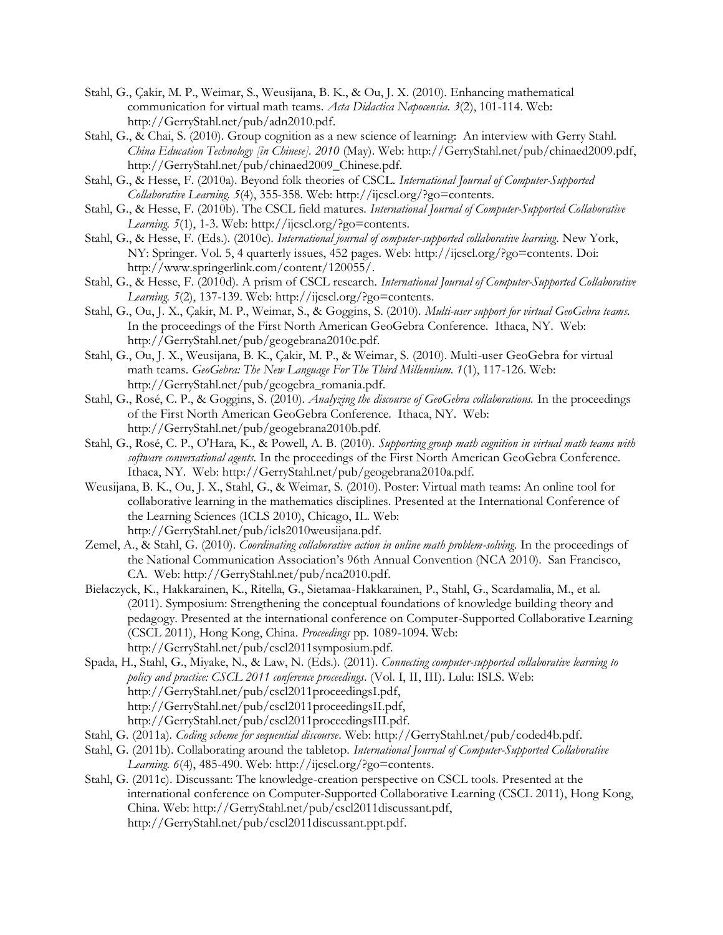- Stahl, G., Çakir, M. P., Weimar, S., Weusijana, B. K., & Ou, J. X. (2010). Enhancing mathematical communication for virtual math teams. *Acta Didactica Napocensia. 3*(2), 101-114. Web: http://GerryStahl.net/pub/adn2010.pdf.
- Stahl, G., & Chai, S. (2010). Group cognition as a new science of learning: An interview with Gerry Stahl. *China Education Technology [in Chinese]. 2010* (May). Web: http://GerryStahl.net/pub/chinaed2009.pdf, http://GerryStahl.net/pub/chinaed2009\_Chinese.pdf.
- Stahl, G., & Hesse, F. (2010a). Beyond folk theories of CSCL. *International Journal of Computer-Supported Collaborative Learning. 5*(4), 355-358. Web: http://ijcscl.org/?go=contents.
- Stahl, G., & Hesse, F. (2010b). The CSCL field matures. *International Journal of Computer-Supported Collaborative Learning. 5*(1), 1-3. Web: http://ijcscl.org/?go=contents.
- Stahl, G., & Hesse, F. (Eds.). (2010c). *International journal of computer-supported collaborative learning*. New York, NY: Springer. Vol. 5, 4 quarterly issues, 452 pages. Web: http://ijcscl.org/?go=contents. Doi: http://www.springerlink.com/content/120055/.
- Stahl, G., & Hesse, F. (2010d). A prism of CSCL research. *International Journal of Computer-Supported Collaborative Learning. 5*(2), 137-139. Web: http://ijcscl.org/?go=contents.
- Stahl, G., Ou, J. X., Çakir, M. P., Weimar, S., & Goggins, S. (2010). *Multi-user support for virtual GeoGebra teams.* In the proceedings of the First North American GeoGebra Conference. Ithaca, NY. Web: http://GerryStahl.net/pub/geogebrana2010c.pdf.
- Stahl, G., Ou, J. X., Weusijana, B. K., Çakir, M. P., & Weimar, S. (2010). Multi-user GeoGebra for virtual math teams. *GeoGebra: The New Language For The Third Millennium. 1*(1), 117-126. Web: http://GerryStahl.net/pub/geogebra\_romania.pdf.
- Stahl, G., Rosé, C. P., & Goggins, S. (2010). *Analyzing the discourse of GeoGebra collaborations.* In the proceedings of the First North American GeoGebra Conference. Ithaca, NY. Web: http://GerryStahl.net/pub/geogebrana2010b.pdf.
- Stahl, G., Rosé, C. P., O'Hara, K., & Powell, A. B. (2010). *Supporting group math cognition in virtual math teams with software conversational agents.* In the proceedings of the First North American GeoGebra Conference. Ithaca, NY. Web: http://GerryStahl.net/pub/geogebrana2010a.pdf.
- Weusijana, B. K., Ou, J. X., Stahl, G., & Weimar, S. (2010). Poster: Virtual math teams: An online tool for collaborative learning in the mathematics disciplines. Presented at the International Conference of the Learning Sciences (ICLS 2010), Chicago, IL. Web: http://GerryStahl.net/pub/icls2010weusijana.pdf.
- Zemel, A., & Stahl, G. (2010). *Coordinating collaborative action in online math problem-solving.* In the proceedings of the National Communication Association's 96th Annual Convention (NCA 2010). San Francisco, CA. Web: http://GerryStahl.net/pub/nca2010.pdf.
- Bielaczyck, K., Hakkarainen, K., Ritella, G., Sietamaa-Hakkarainen, P., Stahl, G., Scardamalia, M., et al. (2011). Symposium: Strengthening the conceptual foundations of knowledge building theory and pedagogy. Presented at the international conference on Computer-Supported Collaborative Learning (CSCL 2011), Hong Kong, China. *Proceedings* pp. 1089-1094. Web: http://GerryStahl.net/pub/cscl2011symposium.pdf.
- Spada, H., Stahl, G., Miyake, N., & Law, N. (Eds.). (2011). *Connecting computer-supported collaborative learning to policy and practice: CSCL 2011 conference proceedings*. (Vol. I, II, III). Lulu: ISLS. Web: http://GerryStahl.net/pub/cscl2011proceedingsI.pdf, http://GerryStahl.net/pub/cscl2011proceedingsII.pdf, http://GerryStahl.net/pub/cscl2011proceedingsIII.pdf.
- Stahl, G. (2011a). *Coding scheme for sequential discourse*. Web: http://GerryStahl.net/pub/coded4b.pdf.
- Stahl, G. (2011b). Collaborating around the tabletop. *International Journal of Computer-Supported Collaborative Learning. 6*(4), 485-490. Web: http://ijcscl.org/?go=contents.
- Stahl, G. (2011c). Discussant: The knowledge-creation perspective on CSCL tools. Presented at the international conference on Computer-Supported Collaborative Learning (CSCL 2011), Hong Kong, China. Web: http://GerryStahl.net/pub/cscl2011discussant.pdf, http://GerryStahl.net/pub/cscl2011discussant.ppt.pdf.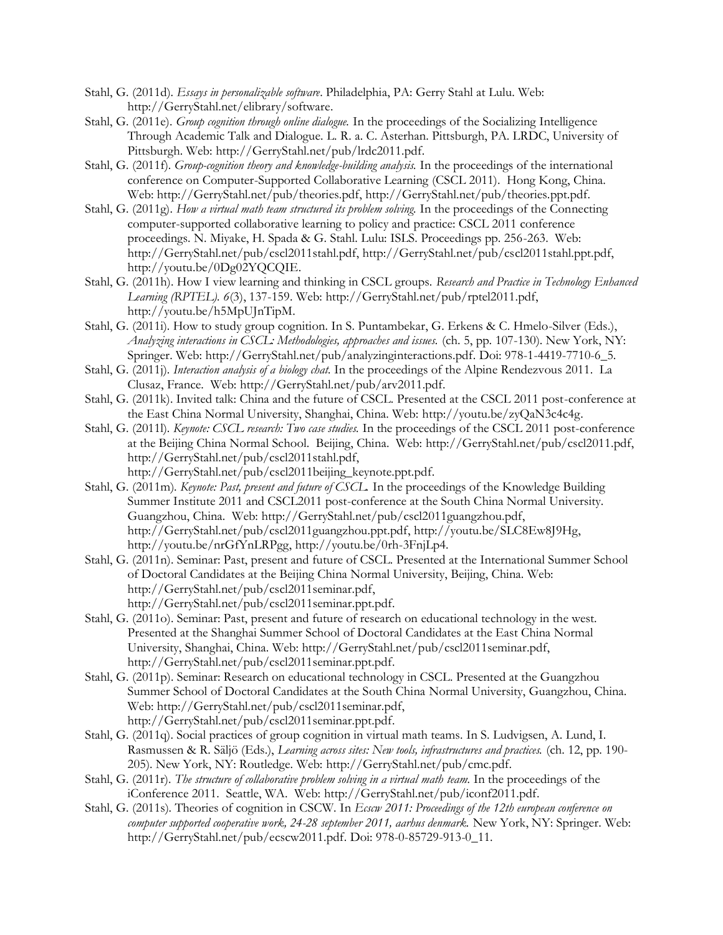- Stahl, G. (2011d). *Essays in personalizable software*. Philadelphia, PA: Gerry Stahl at Lulu. Web: http://GerryStahl.net/elibrary/software.
- Stahl, G. (2011e). *Group cognition through online dialogue.* In the proceedings of the Socializing Intelligence Through Academic Talk and Dialogue. L. R. a. C. Asterhan. Pittsburgh, PA. LRDC, University of Pittsburgh. Web: http://GerryStahl.net/pub/lrdc2011.pdf.
- Stahl, G. (2011f). *Group-cognition theory and knowledge-building analysis.* In the proceedings of the international conference on Computer-Supported Collaborative Learning (CSCL 2011). Hong Kong, China. Web: http://GerryStahl.net/pub/theories.pdf, http://GerryStahl.net/pub/theories.ppt.pdf.
- Stahl, G. (2011g). *How a virtual math team structured its problem solving.* In the proceedings of the Connecting computer-supported collaborative learning to policy and practice: CSCL 2011 conference proceedings. N. Miyake, H. Spada & G. Stahl. Lulu: ISLS. Proceedings pp. 256-263. Web: http://GerryStahl.net/pub/cscl2011stahl.pdf, http://GerryStahl.net/pub/cscl2011stahl.ppt.pdf, http://youtu.be/0Dg02YQCQIE.
- Stahl, G. (2011h). How I view learning and thinking in CSCL groups. *Research and Practice in Technology Enhanced Learning (RPTEL). 6*(3), 137-159. Web: http://GerryStahl.net/pub/rptel2011.pdf, http://youtu.be/h5MpUJnTipM.
- Stahl, G. (2011i). How to study group cognition. In S. Puntambekar, G. Erkens & C. Hmelo-Silver (Eds.), *Analyzing interactions in CSCL: Methodologies, approaches and issues.* (ch. 5, pp. 107-130). New York, NY: Springer. Web: http://GerryStahl.net/pub/analyzinginteractions.pdf. Doi: 978-1-4419-7710-6\_5.
- Stahl, G. (2011j). *Interaction analysis of a biology chat.* In the proceedings of the Alpine Rendezvous 2011. La Clusaz, France. Web: http://GerryStahl.net/pub/arv2011.pdf.
- Stahl, G. (2011k). Invited talk: China and the future of CSCL. Presented at the CSCL 2011 post-conference at the East China Normal University, Shanghai, China. Web: http://youtu.be/zyQaN3c4c4g.
- Stahl, G. (2011l). *Keynote: CSCL research: Two case studies.* In the proceedings of the CSCL 2011 post-conference at the Beijing China Normal School. Beijing, China. Web: http://GerryStahl.net/pub/cscl2011.pdf, http://GerryStahl.net/pub/cscl2011stahl.pdf,
- http://GerryStahl.net/pub/cscl2011beijing\_keynote.ppt.pdf. Stahl, G. (2011m). *Keynote: Past, present and future of CSCL.* In the proceedings of the Knowledge Building
- Summer Institute 2011 and CSCL2011 post-conference at the South China Normal University. Guangzhou, China. Web: http://GerryStahl.net/pub/cscl2011guangzhou.pdf, http://GerryStahl.net/pub/cscl2011guangzhou.ppt.pdf, http://youtu.be/SLC8Ew8J9Hg, http://youtu.be/nrGfYnLRPgg, http://youtu.be/0rh-3FnjLp4.
- Stahl, G. (2011n). Seminar: Past, present and future of CSCL. Presented at the International Summer School of Doctoral Candidates at the Beijing China Normal University, Beijing, China. Web: http://GerryStahl.net/pub/cscl2011seminar.pdf, http://GerryStahl.net/pub/cscl2011seminar.ppt.pdf.
- Stahl, G. (2011o). Seminar: Past, present and future of research on educational technology in the west. Presented at the Shanghai Summer School of Doctoral Candidates at the East China Normal University, Shanghai, China. Web: http://GerryStahl.net/pub/cscl2011seminar.pdf, http://GerryStahl.net/pub/cscl2011seminar.ppt.pdf.
- Stahl, G. (2011p). Seminar: Research on educational technology in CSCL. Presented at the Guangzhou Summer School of Doctoral Candidates at the South China Normal University, Guangzhou, China. Web: http://GerryStahl.net/pub/cscl2011seminar.pdf, http://GerryStahl.net/pub/cscl2011seminar.ppt.pdf.
- Stahl, G. (2011q). Social practices of group cognition in virtual math teams. In S. Ludvigsen, A. Lund, I. Rasmussen & R. Säljö (Eds.), *Learning across sites: New tools, infrastructures and practices.* (ch. 12, pp. 190- 205). New York, NY: Routledge. Web: http://GerryStahl.net/pub/cmc.pdf.
- Stahl, G. (2011r). *The structure of collaborative problem solving in a virtual math team.* In the proceedings of the iConference 2011. Seattle, WA. Web: http://GerryStahl.net/pub/iconf2011.pdf.
- Stahl, G. (2011s). Theories of cognition in CSCW. In *Ecscw 2011: Proceedings of the 12th european conference on computer supported cooperative work, 24-28 september 2011, aarhus denmark.* New York, NY: Springer. Web: http://GerryStahl.net/pub/ecscw2011.pdf. Doi: 978-0-85729-913-0\_11.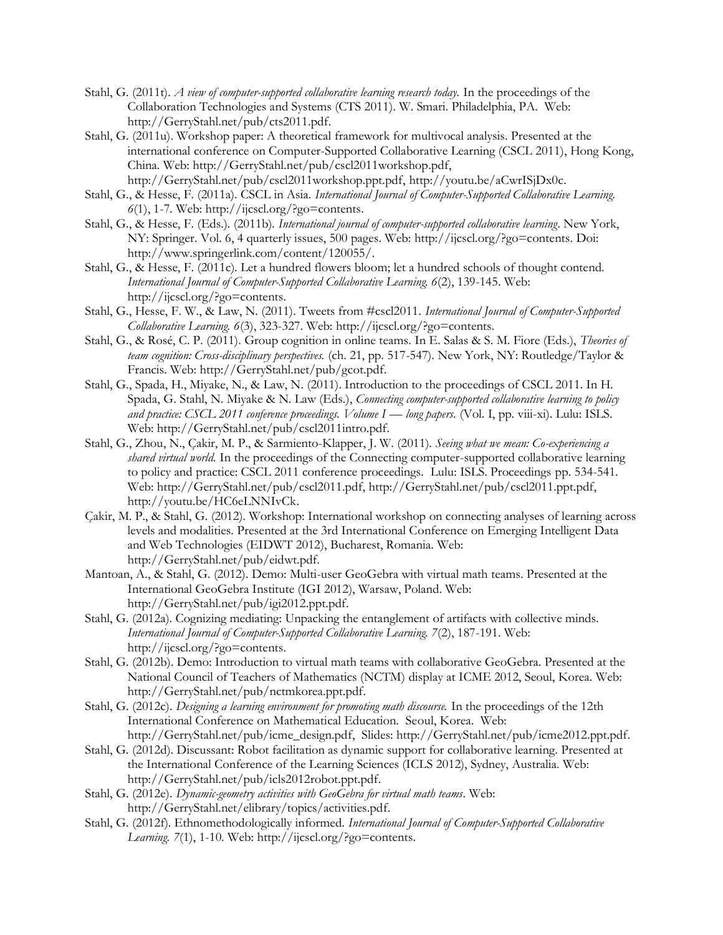- Stahl, G. (2011t). *A view of computer-supported collaborative learning research today.* In the proceedings of the Collaboration Technologies and Systems (CTS 2011). W. Smari. Philadelphia, PA. Web: http://GerryStahl.net/pub/cts2011.pdf.
- Stahl, G. (2011u). Workshop paper: A theoretical framework for multivocal analysis. Presented at the international conference on Computer-Supported Collaborative Learning (CSCL 2011), Hong Kong, China. Web: http://GerryStahl.net/pub/cscl2011workshop.pdf, http://GerryStahl.net/pub/cscl2011workshop.ppt.pdf, http://youtu.be/aCwrISjDx0c.
- Stahl, G., & Hesse, F. (2011a). CSCL in Asia. *International Journal of Computer-Supported Collaborative Learning. 6*(1), 1-7. Web: http://ijcscl.org/?go=contents.
- Stahl, G., & Hesse, F. (Eds.). (2011b). *International journal of computer-supported collaborative learning*. New York, NY: Springer. Vol. 6, 4 quarterly issues, 500 pages. Web: http://ijcscl.org/?go=contents. Doi: http://www.springerlink.com/content/120055/.
- Stahl, G., & Hesse, F. (2011c). Let a hundred flowers bloom; let a hundred schools of thought contend. *International Journal of Computer-Supported Collaborative Learning. 6*(2), 139-145. Web: http://ijcscl.org/?go=contents.
- Stahl, G., Hesse, F. W., & Law, N. (2011). Tweets from #cscl2011. *International Journal of Computer-Supported Collaborative Learning. 6*(3), 323-327. Web: http://ijcscl.org/?go=contents.
- Stahl, G., & Rosé, C. P. (2011). Group cognition in online teams. In E. Salas & S. M. Fiore (Eds.), *Theories of team cognition: Cross-disciplinary perspectives.* (ch. 21, pp. 517-547). New York, NY: Routledge/Taylor & Francis. Web: http://GerryStahl.net/pub/gcot.pdf.
- Stahl, G., Spada, H., Miyake, N., & Law, N. (2011). Introduction to the proceedings of CSCL 2011. In H. Spada, G. Stahl, N. Miyake & N. Law (Eds.), *Connecting computer-supported collaborative learning to policy and practice: CSCL 2011 conference proceedings. Volume I — <i>long papers.* (Vol. I, pp. viii-xi). Lulu: ISLS. Web: http://GerryStahl.net/pub/cscl2011intro.pdf.
- Stahl, G., Zhou, N., Çakir, M. P., & Sarmiento-Klapper, J. W. (2011). *Seeing what we mean: Co-experiencing a shared virtual world.* In the proceedings of the Connecting computer-supported collaborative learning to policy and practice: CSCL 2011 conference proceedings. Lulu: ISLS. Proceedings pp. 534-541. Web: http://GerryStahl.net/pub/cscl2011.pdf, http://GerryStahl.net/pub/cscl2011.ppt.pdf, http://youtu.be/HC6eLNNIvCk.
- Çakir, M. P., & Stahl, G. (2012). Workshop: International workshop on connecting analyses of learning across levels and modalities. Presented at the 3rd International Conference on Emerging Intelligent Data and Web Technologies (EIDWT 2012), Bucharest, Romania. Web: http://GerryStahl.net/pub/eidwt.pdf.
- Mantoan, A., & Stahl, G. (2012). Demo: Multi-user GeoGebra with virtual math teams. Presented at the International GeoGebra Institute (IGI 2012), Warsaw, Poland. Web: http://GerryStahl.net/pub/igi2012.ppt.pdf.
- Stahl, G. (2012a). Cognizing mediating: Unpacking the entanglement of artifacts with collective minds. *International Journal of Computer-Supported Collaborative Learning. 7*(2), 187-191. Web: http://ijcscl.org/?go=contents.
- Stahl, G. (2012b). Demo: Introduction to virtual math teams with collaborative GeoGebra. Presented at the National Council of Teachers of Mathematics (NCTM) display at ICME 2012, Seoul, Korea. Web: http://GerryStahl.net/pub/nctmkorea.ppt.pdf.
- Stahl, G. (2012c). *Designing a learning environment for promoting math discourse.* In the proceedings of the 12th International Conference on Mathematical Education. Seoul, Korea. Web: http://GerryStahl.net/pub/icme\_design.pdf, Slides: http://GerryStahl.net/pub/icme2012.ppt.pdf.
- Stahl, G. (2012d). Discussant: Robot facilitation as dynamic support for collaborative learning. Presented at the International Conference of the Learning Sciences (ICLS 2012), Sydney, Australia. Web: http://GerryStahl.net/pub/icls2012robot.ppt.pdf.
- Stahl, G. (2012e). *Dynamic-geometry activities with GeoGebra for virtual math teams*. Web: http://GerryStahl.net/elibrary/topics/activities.pdf.
- Stahl, G. (2012f). Ethnomethodologically informed. *International Journal of Computer-Supported Collaborative Learning. 7*(1), 1-10. Web: http://ijcscl.org/?go=contents.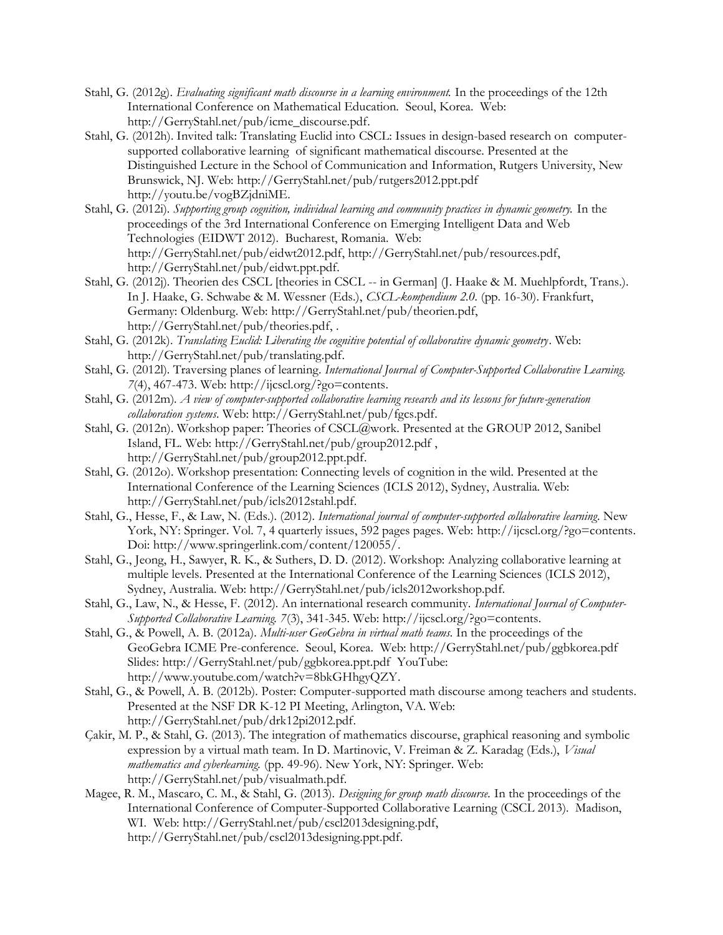- Stahl, G. (2012g). *Evaluating significant math discourse in a learning environment.* In the proceedings of the 12th International Conference on Mathematical Education. Seoul, Korea. Web: http://GerryStahl.net/pub/icme\_discourse.pdf.
- Stahl, G. (2012h). Invited talk: Translating Euclid into CSCL: Issues in design-based research on computersupported collaborative learning of significant mathematical discourse. Presented at the Distinguished Lecture in the School of Communication and Information, Rutgers University, New Brunswick, NJ. Web: http://GerryStahl.net/pub/rutgers2012.ppt.pdf http://youtu.be/vogBZjdniME.
- Stahl, G. (2012i). *Supporting group cognition, individual learning and community practices in dynamic geometry.* In the proceedings of the 3rd International Conference on Emerging Intelligent Data and Web Technologies (EIDWT 2012). Bucharest, Romania. Web: http://GerryStahl.net/pub/eidwt2012.pdf, http://GerryStahl.net/pub/resources.pdf, http://GerryStahl.net/pub/eidwt.ppt.pdf.
- Stahl, G. (2012j). Theorien des CSCL [theories in CSCL -- in German] (J. Haake & M. Muehlpfordt, Trans.). In J. Haake, G. Schwabe & M. Wessner (Eds.), *CSCL-kompendium 2.0.* (pp. 16-30). Frankfurt, Germany: Oldenburg. Web: http://GerryStahl.net/pub/theorien.pdf, http://GerryStahl.net/pub/theories.pdf, .
- Stahl, G. (2012k). *Translating Euclid: Liberating the cognitive potential of collaborative dynamic geometry*. Web: http://GerryStahl.net/pub/translating.pdf.
- Stahl, G. (2012l). Traversing planes of learning. *International Journal of Computer-Supported Collaborative Learning. 7*(4), 467-473. Web: http://ijcscl.org/?go=contents.
- Stahl, G. (2012m). *A view of computer-supported collaborative learning research and its lessons for future-generation collaboration systems*. Web: http://GerryStahl.net/pub/fgcs.pdf.
- Stahl, G. (2012n). Workshop paper: Theories of CSCL@work. Presented at the GROUP 2012, Sanibel Island, FL. Web: http://GerryStahl.net/pub/group2012.pdf , http://GerryStahl.net/pub/group2012.ppt.pdf.
- Stahl, G. (2012o). Workshop presentation: Connecting levels of cognition in the wild. Presented at the International Conference of the Learning Sciences (ICLS 2012), Sydney, Australia. Web: http://GerryStahl.net/pub/icls2012stahl.pdf.
- Stahl, G., Hesse, F., & Law, N. (Eds.). (2012). *International journal of computer-supported collaborative learning*. New York, NY: Springer. Vol. 7, 4 quarterly issues, 592 pages pages. Web: http://ijcscl.org/?go=contents. Doi: http://www.springerlink.com/content/120055/.
- Stahl, G., Jeong, H., Sawyer, R. K., & Suthers, D. D. (2012). Workshop: Analyzing collaborative learning at multiple levels. Presented at the International Conference of the Learning Sciences (ICLS 2012), Sydney, Australia. Web: http://GerryStahl.net/pub/icls2012workshop.pdf.
- Stahl, G., Law, N., & Hesse, F. (2012). An international research community. *International Journal of Computer-Supported Collaborative Learning. 7*(3), 341-345. Web: http://ijcscl.org/?go=contents.
- Stahl, G., & Powell, A. B. (2012a). *Multi-user GeoGebra in virtual math teams.* In the proceedings of the GeoGebra ICME Pre-conference. Seoul, Korea. Web: http://GerryStahl.net/pub/ggbkorea.pdf Slides: http://GerryStahl.net/pub/ggbkorea.ppt.pdf YouTube: http://www.youtube.com/watch?v=8bkGHhgyQZY.
- Stahl, G., & Powell, A. B. (2012b). Poster: Computer-supported math discourse among teachers and students. Presented at the NSF DR K-12 PI Meeting, Arlington, VA. Web: http://GerryStahl.net/pub/drk12pi2012.pdf.
- Çakir, M. P., & Stahl, G. (2013). The integration of mathematics discourse, graphical reasoning and symbolic expression by a virtual math team. In D. Martinovic, V. Freiman & Z. Karadag (Eds.), *Visual mathematics and cyberlearning.* (pp. 49-96). New York, NY: Springer. Web: http://GerryStahl.net/pub/visualmath.pdf.
- Magee, R. M., Mascaro, C. M., & Stahl, G. (2013). *Designing for group math discourse.* In the proceedings of the International Conference of Computer-Supported Collaborative Learning (CSCL 2013). Madison, WI. Web: http://GerryStahl.net/pub/cscl2013designing.pdf, http://GerryStahl.net/pub/cscl2013designing.ppt.pdf.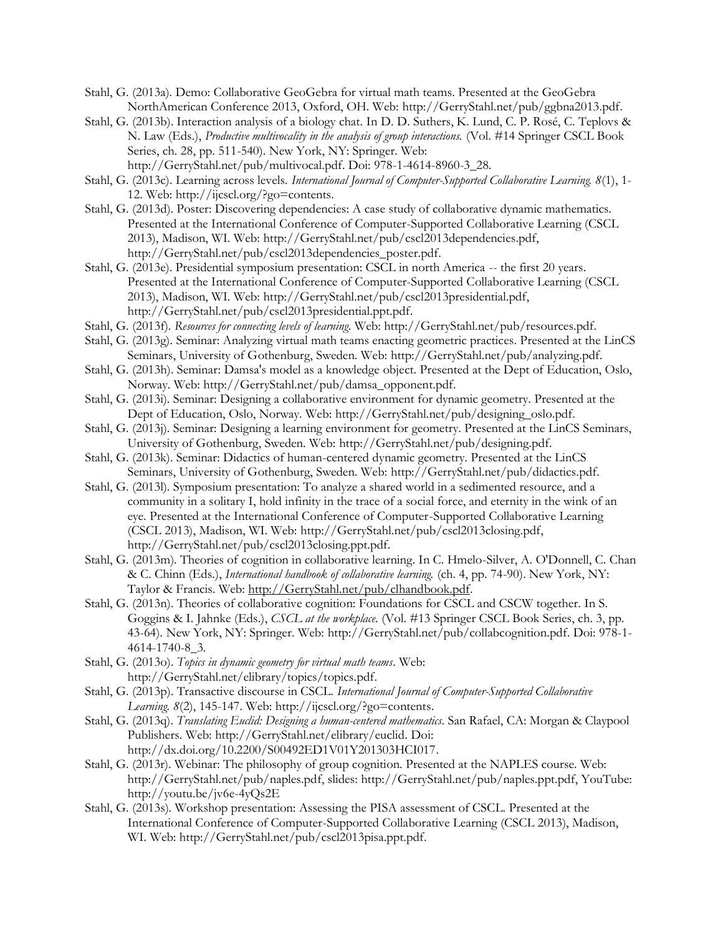- Stahl, G. (2013a). Demo: Collaborative GeoGebra for virtual math teams. Presented at the GeoGebra NorthAmerican Conference 2013, Oxford, OH. Web: http://GerryStahl.net/pub/ggbna2013.pdf.
- Stahl, G. (2013b). Interaction analysis of a biology chat. In D. D. Suthers, K. Lund, C. P. Rosé, C. Teplovs & N. Law (Eds.), *Productive multivocality in the analysis of group interactions.* (Vol. #14 Springer CSCL Book Series, ch. 28, pp. 511-540). New York, NY: Springer. Web: http://GerryStahl.net/pub/multivocal.pdf. Doi: 978-1-4614-8960-3\_28.
- Stahl, G. (2013c). Learning across levels. *International Journal of Computer-Supported Collaborative Learning. 8*(1), 1- 12. Web: http://ijcscl.org/?go=contents.
- Stahl, G. (2013d). Poster: Discovering dependencies: A case study of collaborative dynamic mathematics. Presented at the International Conference of Computer-Supported Collaborative Learning (CSCL 2013), Madison, WI. Web: http://GerryStahl.net/pub/cscl2013dependencies.pdf, http://GerryStahl.net/pub/cscl2013dependencies\_poster.pdf.
- Stahl, G. (2013e). Presidential symposium presentation: CSCL in north America -- the first 20 years. Presented at the International Conference of Computer-Supported Collaborative Learning (CSCL 2013), Madison, WI. Web: http://GerryStahl.net/pub/cscl2013presidential.pdf, http://GerryStahl.net/pub/cscl2013presidential.ppt.pdf.
- Stahl, G. (2013f). *Resources for connecting levels of learning*. Web: http://GerryStahl.net/pub/resources.pdf.
- Stahl, G. (2013g). Seminar: Analyzing virtual math teams enacting geometric practices. Presented at the LinCS Seminars, University of Gothenburg, Sweden. Web: http://GerryStahl.net/pub/analyzing.pdf.
- Stahl, G. (2013h). Seminar: Damsa's model as a knowledge object. Presented at the Dept of Education, Oslo, Norway. Web: http://GerryStahl.net/pub/damsa\_opponent.pdf.
- Stahl, G. (2013i). Seminar: Designing a collaborative environment for dynamic geometry. Presented at the Dept of Education, Oslo, Norway. Web: http://GerryStahl.net/pub/designing\_oslo.pdf.
- Stahl, G. (2013j). Seminar: Designing a learning environment for geometry. Presented at the LinCS Seminars, University of Gothenburg, Sweden. Web: http://GerryStahl.net/pub/designing.pdf.
- Stahl, G. (2013k). Seminar: Didactics of human-centered dynamic geometry. Presented at the LinCS Seminars, University of Gothenburg, Sweden. Web: http://GerryStahl.net/pub/didactics.pdf.
- Stahl, G. (2013l). Symposium presentation: To analyze a shared world in a sedimented resource, and a community in a solitary I, hold infinity in the trace of a social force, and eternity in the wink of an eye. Presented at the International Conference of Computer-Supported Collaborative Learning (CSCL 2013), Madison, WI. Web: http://GerryStahl.net/pub/cscl2013closing.pdf, http://GerryStahl.net/pub/cscl2013closing.ppt.pdf.
- Stahl, G. (2013m). Theories of cognition in collaborative learning. In C. Hmelo-Silver, A. O'Donnell, C. Chan & C. Chinn (Eds.), *International handbook of collaborative learning.* (ch. 4, pp. 74-90). New York, NY: Taylor & Francis. Web: http://GerryStahl.net/pub/clhandbook.pdf.
- Stahl, G. (2013n). Theories of collaborative cognition: Foundations for CSCL and CSCW together. In S. Goggins & I. Jahnke (Eds.), *CSCL at the workplace.* (Vol. #13 Springer CSCL Book Series, ch. 3, pp. 43-64). New York, NY: Springer. Web: http://GerryStahl.net/pub/collabcognition.pdf. Doi: 978-1- 4614-1740-8\_3.
- Stahl, G. (2013o). *Topics in dynamic geometry for virtual math teams*. Web: http://GerryStahl.net/elibrary/topics/topics.pdf.
- Stahl, G. (2013p). Transactive discourse in CSCL. *International Journal of Computer-Supported Collaborative Learning. 8*(2), 145-147. Web: http://ijcscl.org/?go=contents.
- Stahl, G. (2013q). *Translating Euclid: Designing a human-centered mathematics*. San Rafael, CA: Morgan & Claypool Publishers. Web: http://GerryStahl.net/elibrary/euclid. Doi: http://dx.doi.org/10.2200/S00492ED1V01Y201303HCI017.
- Stahl, G. (2013r). Webinar: The philosophy of group cognition. Presented at the NAPLES course. Web: http://GerryStahl.net/pub/naples.pdf, slides: http://GerryStahl.net/pub/naples.ppt.pdf, YouTube: http://youtu.be/jv6e-4yQs2E
- Stahl, G. (2013s). Workshop presentation: Assessing the PISA assessment of CSCL. Presented at the International Conference of Computer-Supported Collaborative Learning (CSCL 2013), Madison, WI. Web: http://GerryStahl.net/pub/cscl2013pisa.ppt.pdf.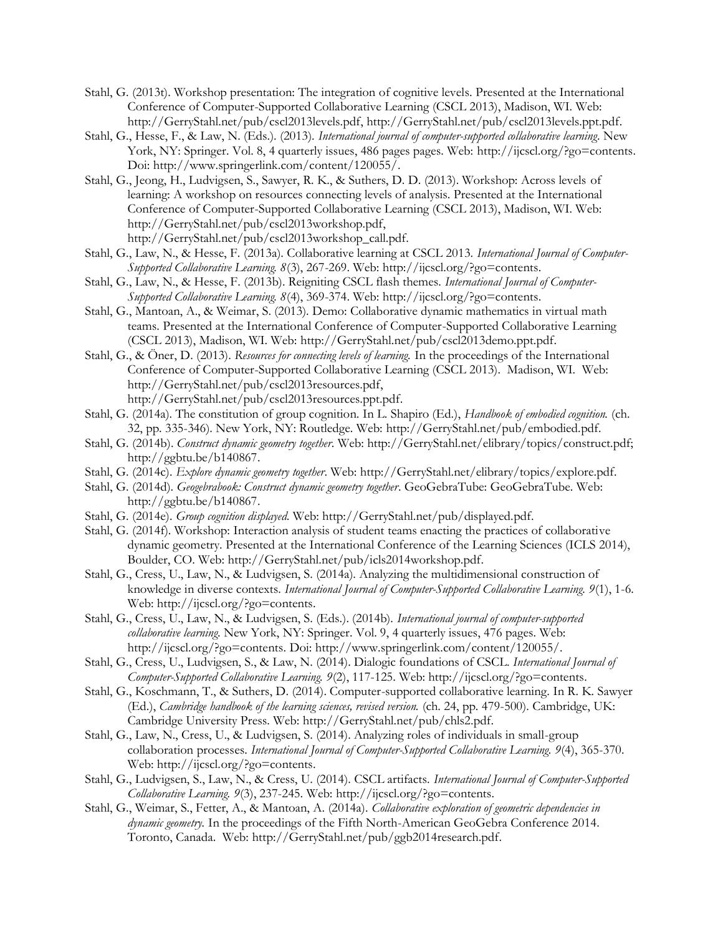- Stahl, G. (2013t). Workshop presentation: The integration of cognitive levels. Presented at the International Conference of Computer-Supported Collaborative Learning (CSCL 2013), Madison, WI. Web: http://GerryStahl.net/pub/cscl2013levels.pdf, http://GerryStahl.net/pub/cscl2013levels.ppt.pdf.
- Stahl, G., Hesse, F., & Law, N. (Eds.). (2013). *International journal of computer-supported collaborative learning*. New York, NY: Springer. Vol. 8, 4 quarterly issues, 486 pages pages. Web: http://ijcscl.org/?go=contents. Doi: http://www.springerlink.com/content/120055/.
- Stahl, G., Jeong, H., Ludvigsen, S., Sawyer, R. K., & Suthers, D. D. (2013). Workshop: Across levels of learning: A workshop on resources connecting levels of analysis. Presented at the International Conference of Computer-Supported Collaborative Learning (CSCL 2013), Madison, WI. Web: http://GerryStahl.net/pub/cscl2013workshop.pdf, http://GerryStahl.net/pub/cscl2013workshop\_call.pdf.
- Stahl, G., Law, N., & Hesse, F. (2013a). Collaborative learning at CSCL 2013. *International Journal of Computer-Supported Collaborative Learning. 8*(3), 267-269. Web: http://ijcscl.org/?go=contents.
- Stahl, G., Law, N., & Hesse, F. (2013b). Reigniting CSCL flash themes. *International Journal of Computer-Supported Collaborative Learning. 8*(4), 369-374. Web: http://ijcscl.org/?go=contents.
- Stahl, G., Mantoan, A., & Weimar, S. (2013). Demo: Collaborative dynamic mathematics in virtual math teams. Presented at the International Conference of Computer-Supported Collaborative Learning (CSCL 2013), Madison, WI. Web: http://GerryStahl.net/pub/cscl2013demo.ppt.pdf.
- Stahl, G., & Öner, D. (2013). *Resources for connecting levels of learning.* In the proceedings of the International Conference of Computer-Supported Collaborative Learning (CSCL 2013). Madison, WI. Web: http://GerryStahl.net/pub/cscl2013resources.pdf, http://GerryStahl.net/pub/cscl2013resources.ppt.pdf.
- Stahl, G. (2014a). The constitution of group cognition. In L. Shapiro (Ed.), *Handbook of embodied cognition.* (ch. 32, pp. 335-346). New York, NY: Routledge. Web: http://GerryStahl.net/pub/embodied.pdf.
- Stahl, G. (2014b). *Construct dynamic geometry together*. Web: http://GerryStahl.net/elibrary/topics/construct.pdf; http://ggbtu.be/b140867.
- Stahl, G. (2014c). *Explore dynamic geometry together*. Web: http://GerryStahl.net/elibrary/topics/explore.pdf.
- Stahl, G. (2014d). *Geogebrabook: Construct dynamic geometry together*. GeoGebraTube: GeoGebraTube. Web: http://ggbtu.be/b140867.
- Stahl, G. (2014e). *Group cognition displayed*. Web: http://GerryStahl.net/pub/displayed.pdf.
- Stahl, G. (2014f). Workshop: Interaction analysis of student teams enacting the practices of collaborative dynamic geometry. Presented at the International Conference of the Learning Sciences (ICLS 2014), Boulder, CO. Web: http://GerryStahl.net/pub/icls2014workshop.pdf.
- Stahl, G., Cress, U., Law, N., & Ludvigsen, S. (2014a). Analyzing the multidimensional construction of knowledge in diverse contexts. *International Journal of Computer-Supported Collaborative Learning. 9*(1), 1-6. Web: http://ijcscl.org/?go=contents.
- Stahl, G., Cress, U., Law, N., & Ludvigsen, S. (Eds.). (2014b). *International journal of computer-supported collaborative learning*. New York, NY: Springer. Vol. 9, 4 quarterly issues, 476 pages. Web: http://ijcscl.org/?go=contents. Doi: http://www.springerlink.com/content/120055/.
- Stahl, G., Cress, U., Ludvigsen, S., & Law, N. (2014). Dialogic foundations of CSCL. *International Journal of Computer-Supported Collaborative Learning. 9*(2), 117-125. Web: http://ijcscl.org/?go=contents.
- Stahl, G., Koschmann, T., & Suthers, D. (2014). Computer-supported collaborative learning. In R. K. Sawyer (Ed.), *Cambridge handbook of the learning sciences, revised version.* (ch. 24, pp. 479-500). Cambridge, UK: Cambridge University Press. Web: http://GerryStahl.net/pub/chls2.pdf.
- Stahl, G., Law, N., Cress, U., & Ludvigsen, S. (2014). Analyzing roles of individuals in small-group collaboration processes. *International Journal of Computer-Supported Collaborative Learning. 9*(4), 365-370. Web: http://ijcscl.org/?go=contents.
- Stahl, G., Ludvigsen, S., Law, N., & Cress, U. (2014). CSCL artifacts. *International Journal of Computer-Supported Collaborative Learning. 9*(3), 237-245. Web: http://ijcscl.org/?go=contents.
- Stahl, G., Weimar, S., Fetter, A., & Mantoan, A. (2014a). *Collaborative exploration of geometric dependencies in dynamic geometry.* In the proceedings of the Fifth North-American GeoGebra Conference 2014. Toronto, Canada. Web: http://GerryStahl.net/pub/ggb2014research.pdf.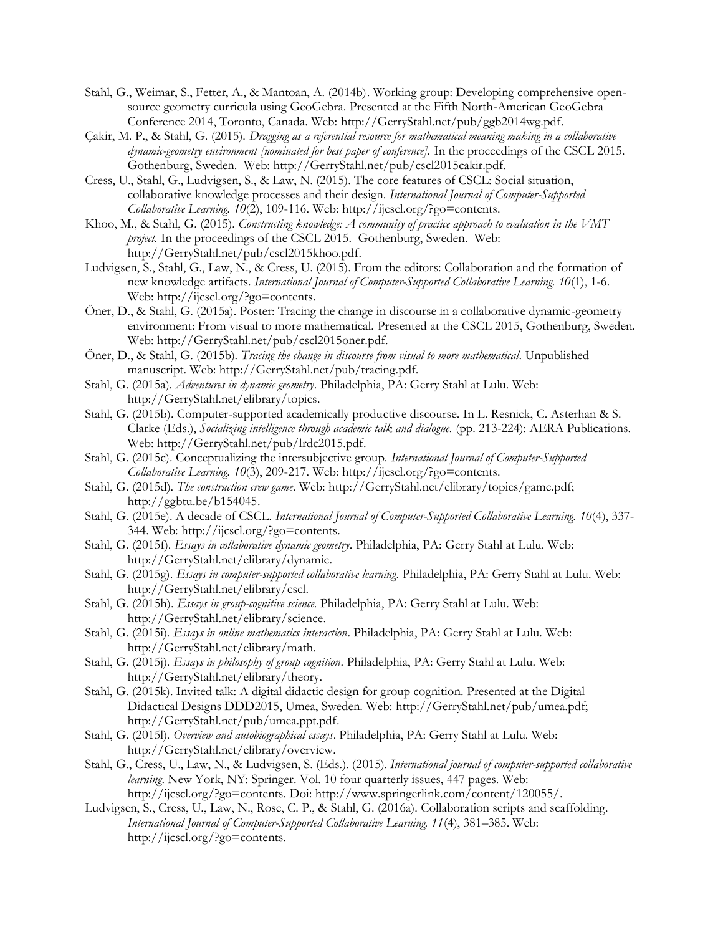- Stahl, G., Weimar, S., Fetter, A., & Mantoan, A. (2014b). Working group: Developing comprehensive opensource geometry curricula using GeoGebra. Presented at the Fifth North-American GeoGebra Conference 2014, Toronto, Canada. Web: http://GerryStahl.net/pub/ggb2014wg.pdf.
- Çakir, M. P., & Stahl, G. (2015). *Dragging as a referential resource for mathematical meaning making in a collaborative dynamic-geometry environment [nominated for best paper of conference].* In the proceedings of the CSCL 2015. Gothenburg, Sweden. Web: http://GerryStahl.net/pub/cscl2015cakir.pdf.
- Cress, U., Stahl, G., Ludvigsen, S., & Law, N. (2015). The core features of CSCL: Social situation, collaborative knowledge processes and their design. *International Journal of Computer-Supported Collaborative Learning. 10*(2), 109-116. Web: http://ijcscl.org/?go=contents.
- Khoo, M., & Stahl, G. (2015). *Constructing knowledge: A community of practice approach to evaluation in the VMT project.* In the proceedings of the CSCL 2015. Gothenburg, Sweden. Web: http://GerryStahl.net/pub/cscl2015khoo.pdf.
- Ludvigsen, S., Stahl, G., Law, N., & Cress, U. (2015). From the editors: Collaboration and the formation of new knowledge artifacts. *International Journal of Computer-Supported Collaborative Learning. 10*(1), 1-6. Web: http://ijcscl.org/?go=contents.
- Öner, D., & Stahl, G. (2015a). Poster: Tracing the change in discourse in a collaborative dynamic-geometry environment: From visual to more mathematical. Presented at the CSCL 2015, Gothenburg, Sweden. Web: http://GerryStahl.net/pub/cscl2015oner.pdf.
- Öner, D., & Stahl, G. (2015b). *Tracing the change in discourse from visual to more mathematical*. Unpublished manuscript. Web: http://GerryStahl.net/pub/tracing.pdf.
- Stahl, G. (2015a). *Adventures in dynamic geometry*. Philadelphia, PA: Gerry Stahl at Lulu. Web: http://GerryStahl.net/elibrary/topics.
- Stahl, G. (2015b). Computer-supported academically productive discourse. In L. Resnick, C. Asterhan & S. Clarke (Eds.), *Socializing intelligence through academic talk and dialogue.* (pp. 213-224): AERA Publications. Web: http://GerryStahl.net/pub/lrdc2015.pdf.
- Stahl, G. (2015c). Conceptualizing the intersubjective group. *International Journal of Computer-Supported Collaborative Learning. 10*(3), 209-217. Web: http://ijcscl.org/?go=contents.
- Stahl, G. (2015d). *The construction crew game*. Web: http://GerryStahl.net/elibrary/topics/game.pdf; http://ggbtu.be/b154045.
- Stahl, G. (2015e). A decade of CSCL. *International Journal of Computer-Supported Collaborative Learning. 10*(4), 337- 344. Web: http://ijcscl.org/?go=contents.
- Stahl, G. (2015f). *Essays in collaborative dynamic geometry*. Philadelphia, PA: Gerry Stahl at Lulu. Web: http://GerryStahl.net/elibrary/dynamic.
- Stahl, G. (2015g). *Essays in computer-supported collaborative learning*. Philadelphia, PA: Gerry Stahl at Lulu. Web: http://GerryStahl.net/elibrary/cscl.
- Stahl, G. (2015h). *Essays in group-cognitive science*. Philadelphia, PA: Gerry Stahl at Lulu. Web: http://GerryStahl.net/elibrary/science.
- Stahl, G. (2015i). *Essays in online mathematics interaction*. Philadelphia, PA: Gerry Stahl at Lulu. Web: http://GerryStahl.net/elibrary/math.
- Stahl, G. (2015j). *Essays in philosophy of group cognition*. Philadelphia, PA: Gerry Stahl at Lulu. Web: http://GerryStahl.net/elibrary/theory.
- Stahl, G. (2015k). Invited talk: A digital didactic design for group cognition. Presented at the Digital Didactical Designs DDD2015, Umea, Sweden. Web: http://GerryStahl.net/pub/umea.pdf; http://GerryStahl.net/pub/umea.ppt.pdf.
- Stahl, G. (2015l). *Overview and autobiographical essays*. Philadelphia, PA: Gerry Stahl at Lulu. Web: http://GerryStahl.net/elibrary/overview.
- Stahl, G., Cress, U., Law, N., & Ludvigsen, S. (Eds.). (2015). *International journal of computer-supported collaborative learning*. New York, NY: Springer. Vol. 10 four quarterly issues, 447 pages. Web: http://ijcscl.org/?go=contents. Doi: http://www.springerlink.com/content/120055/.
- Ludvigsen, S., Cress, U., Law, N., Rose, C. P., & Stahl, G. (2016a). Collaboration scripts and scaffolding. *International Journal of Computer-Supported Collaborative Learning. 11*(4), 381–385. Web: http://ijcscl.org/?go=contents.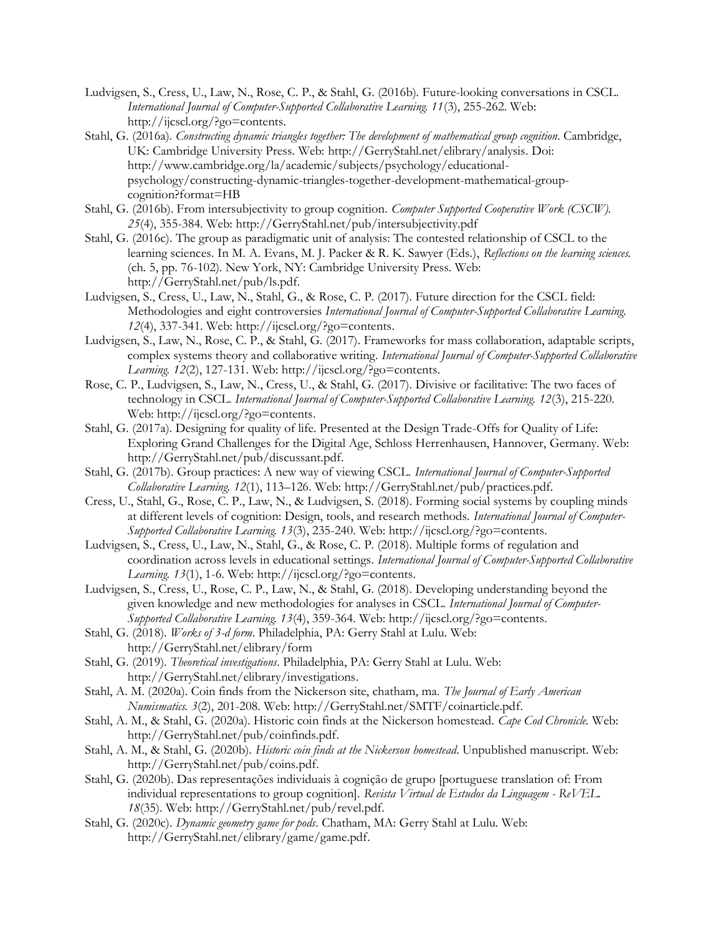- Ludvigsen, S., Cress, U., Law, N., Rose, C. P., & Stahl, G. (2016b). Future-looking conversations in CSCL. *International Journal of Computer-Supported Collaborative Learning. 11*(3), 255-262. Web: http://ijcscl.org/?go=contents.
- Stahl, G. (2016a). *Constructing dynamic triangles together: The development of mathematical group cognition*. Cambridge, UK: Cambridge University Press. Web: http://GerryStahl.net/elibrary/analysis. Doi: http://www.cambridge.org/la/academic/subjects/psychology/educationalpsychology/constructing-dynamic-triangles-together-development-mathematical-groupcognition?format=HB
- Stahl, G. (2016b). From intersubjectivity to group cognition. *Computer Supported Cooperative Work (CSCW). 25*(4), 355-384. Web: http://GerryStahl.net/pub/intersubjectivity.pdf
- Stahl, G. (2016c). The group as paradigmatic unit of analysis: The contested relationship of CSCL to the learning sciences. In M. A. Evans, M. J. Packer & R. K. Sawyer (Eds.), *Reflections on the learning sciences.* (ch. 5, pp. 76-102). New York, NY: Cambridge University Press. Web: http://GerryStahl.net/pub/ls.pdf.
- Ludvigsen, S., Cress, U., Law, N., Stahl, G., & Rose, C. P. (2017). Future direction for the CSCL field: Methodologies and eight controversies *International Journal of Computer-Supported Collaborative Learning. 12*(4), 337-341. Web: http://ijcscl.org/?go=contents.
- Ludvigsen, S., Law, N., Rose, C. P., & Stahl, G. (2017). Frameworks for mass collaboration, adaptable scripts, complex systems theory and collaborative writing. *International Journal of Computer-Supported Collaborative Learning. 12*(2), 127-131. Web: http://ijcscl.org/?go=contents.
- Rose, C. P., Ludvigsen, S., Law, N., Cress, U., & Stahl, G. (2017). Divisive or facilitative: The two faces of technology in CSCL. *International Journal of Computer-Supported Collaborative Learning. 12*(3), 215-220. Web: http://ijcscl.org/?go=contents.
- Stahl, G. (2017a). Designing for quality of life. Presented at the Design Trade-Offs for Quality of Life: Exploring Grand Challenges for the Digital Age, Schloss Herrenhausen, Hannover, Germany. Web: http://GerryStahl.net/pub/discussant.pdf.
- Stahl, G. (2017b). Group practices: A new way of viewing CSCL. *International Journal of Computer-Supported Collaborative Learning. 12*(1), 113–126. Web: http://GerryStahl.net/pub/practices.pdf.
- Cress, U., Stahl, G., Rose, C. P., Law, N., & Ludvigsen, S. (2018). Forming social systems by coupling minds at different levels of cognition: Design, tools, and research methods. *International Journal of Computer-Supported Collaborative Learning. 13*(3), 235-240. Web: http://ijcscl.org/?go=contents.
- Ludvigsen, S., Cress, U., Law, N., Stahl, G., & Rose, C. P. (2018). Multiple forms of regulation and coordination across levels in educational settings. *International Journal of Computer-Supported Collaborative Learning. 13*(1), 1-6. Web: http://ijcscl.org/?go=contents.
- Ludvigsen, S., Cress, U., Rose, C. P., Law, N., & Stahl, G. (2018). Developing understanding beyond the given knowledge and new methodologies for analyses in CSCL. *International Journal of Computer-Supported Collaborative Learning. 13*(4), 359-364. Web: http://ijcscl.org/?go=contents.
- Stahl, G. (2018). *Works of 3-d form*. Philadelphia, PA: Gerry Stahl at Lulu. Web: http://GerryStahl.net/elibrary/form
- Stahl, G. (2019). *Theoretical investigations*. Philadelphia, PA: Gerry Stahl at Lulu. Web: http://GerryStahl.net/elibrary/investigations.
- Stahl, A. M. (2020a). Coin finds from the Nickerson site, chatham, ma. *The Journal of Early American Numismatics. 3*(2), 201-208. Web: http://GerryStahl.net/SMTF/coinarticle.pdf.
- Stahl, A. M., & Stahl, G. (2020a). Historic coin finds at the Nickerson homestead. *Cape Cod Chronicle.* Web: http://GerryStahl.net/pub/coinfinds.pdf.
- Stahl, A. M., & Stahl, G. (2020b). *Historic coin finds at the Nickerson homestead*. Unpublished manuscript. Web: http://GerryStahl.net/pub/coins.pdf.
- Stahl, G. (2020b). Das representações individuais à cognição de grupo [portuguese translation of: From individual representations to group cognition]. *Revista Virtual de Estudos da Linguagem - ReVEL. 18*(35). Web: http://GerryStahl.net/pub/revel.pdf.
- Stahl, G. (2020c). *Dynamic geometry game for pods*. Chatham, MA: Gerry Stahl at Lulu. Web: http://GerryStahl.net/elibrary/game/game.pdf.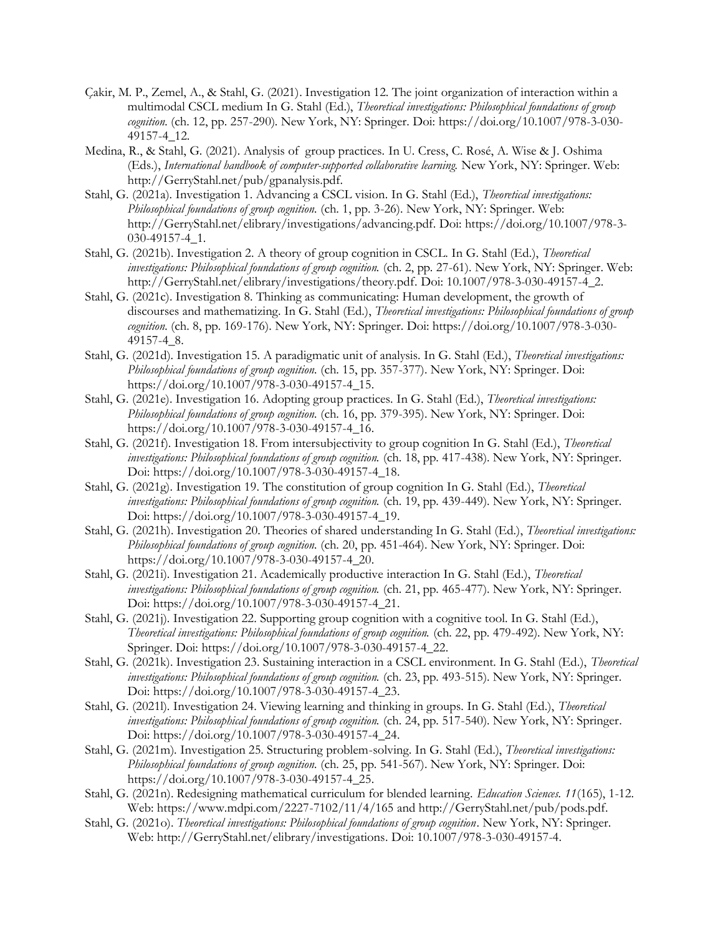- Çakir, M. P., Zemel, A., & Stahl, G. (2021). Investigation 12. The joint organization of interaction within a multimodal CSCL medium In G. Stahl (Ed.), *Theoretical investigations: Philosophical foundations of group cognition.* (ch. 12, pp. 257-290). New York, NY: Springer. Doi: https://doi.org/10.1007/978-3-030- 49157-4\_12.
- Medina, R., & Stahl, G. (2021). Analysis of group practices. In U. Cress, C. Rosé, A. Wise & J. Oshima (Eds.), *International handbook of computer-supported collaborative learning.* New York, NY: Springer. Web: http://GerryStahl.net/pub/gpanalysis.pdf.
- Stahl, G. (2021a). Investigation 1. Advancing a CSCL vision. In G. Stahl (Ed.), *Theoretical investigations: Philosophical foundations of group cognition.* (ch. 1, pp. 3-26). New York, NY: Springer. Web: http://GerryStahl.net/elibrary/investigations/advancing.pdf. Doi: https://doi.org/10.1007/978-3- 030-49157-4\_1.
- Stahl, G. (2021b). Investigation 2. A theory of group cognition in CSCL. In G. Stahl (Ed.), *Theoretical investigations: Philosophical foundations of group cognition.* (ch. 2, pp. 27-61). New York, NY: Springer. Web: http://GerryStahl.net/elibrary/investigations/theory.pdf. Doi: 10.1007/978-3-030-49157-4\_2.
- Stahl, G. (2021c). Investigation 8. Thinking as communicating: Human development, the growth of discourses and mathematizing. In G. Stahl (Ed.), *Theoretical investigations: Philosophical foundations of group cognition.* (ch. 8, pp. 169-176). New York, NY: Springer. Doi: https://doi.org/10.1007/978-3-030- 49157-4\_8.
- Stahl, G. (2021d). Investigation 15. A paradigmatic unit of analysis. In G. Stahl (Ed.), *Theoretical investigations: Philosophical foundations of group cognition.* (ch. 15, pp. 357-377). New York, NY: Springer. Doi: https://doi.org/10.1007/978-3-030-49157-4\_15.
- Stahl, G. (2021e). Investigation 16. Adopting group practices. In G. Stahl (Ed.), *Theoretical investigations: Philosophical foundations of group cognition.* (ch. 16, pp. 379-395). New York, NY: Springer. Doi: https://doi.org/10.1007/978-3-030-49157-4\_16.
- Stahl, G. (2021f). Investigation 18. From intersubjectivity to group cognition In G. Stahl (Ed.), *Theoretical investigations: Philosophical foundations of group cognition.* (ch. 18, pp. 417-438). New York, NY: Springer. Doi: https://doi.org/10.1007/978-3-030-49157-4\_18.
- Stahl, G. (2021g). Investigation 19. The constitution of group cognition In G. Stahl (Ed.), *Theoretical investigations: Philosophical foundations of group cognition.* (ch. 19, pp. 439-449). New York, NY: Springer. Doi: https://doi.org/10.1007/978-3-030-49157-4\_19.
- Stahl, G. (2021h). Investigation 20. Theories of shared understanding In G. Stahl (Ed.), *Theoretical investigations: Philosophical foundations of group cognition.* (ch. 20, pp. 451-464). New York, NY: Springer. Doi: https://doi.org/10.1007/978-3-030-49157-4\_20.
- Stahl, G. (2021i). Investigation 21. Academically productive interaction In G. Stahl (Ed.), *Theoretical investigations: Philosophical foundations of group cognition.* (ch. 21, pp. 465-477). New York, NY: Springer. Doi: https://doi.org/10.1007/978-3-030-49157-4\_21.
- Stahl, G. (2021j). Investigation 22. Supporting group cognition with a cognitive tool. In G. Stahl (Ed.), *Theoretical investigations: Philosophical foundations of group cognition.* (ch. 22, pp. 479-492). New York, NY: Springer. Doi: https://doi.org/10.1007/978-3-030-49157-4\_22.
- Stahl, G. (2021k). Investigation 23. Sustaining interaction in a CSCL environment. In G. Stahl (Ed.), *Theoretical investigations: Philosophical foundations of group cognition.* (ch. 23, pp. 493-515). New York, NY: Springer. Doi: https://doi.org/10.1007/978-3-030-49157-4\_23.
- Stahl, G. (2021l). Investigation 24. Viewing learning and thinking in groups. In G. Stahl (Ed.), *Theoretical investigations: Philosophical foundations of group cognition.* (ch. 24, pp. 517-540). New York, NY: Springer. Doi: https://doi.org/10.1007/978-3-030-49157-4\_24.
- Stahl, G. (2021m). Investigation 25. Structuring problem-solving. In G. Stahl (Ed.), *Theoretical investigations: Philosophical foundations of group cognition.* (ch. 25, pp. 541-567). New York, NY: Springer. Doi: https://doi.org/10.1007/978-3-030-49157-4\_25.
- Stahl, G. (2021n). Redesigning mathematical curriculum for blended learning. *Education Sciences. 11*(165), 1-12. Web: https://www.mdpi.com/2227-7102/11/4/165 and http://GerryStahl.net/pub/pods.pdf.
- Stahl, G. (2021o). *Theoretical investigations: Philosophical foundations of group cognition*. New York, NY: Springer. Web: http://GerryStahl.net/elibrary/investigations. Doi: 10.1007/978-3-030-49157-4.